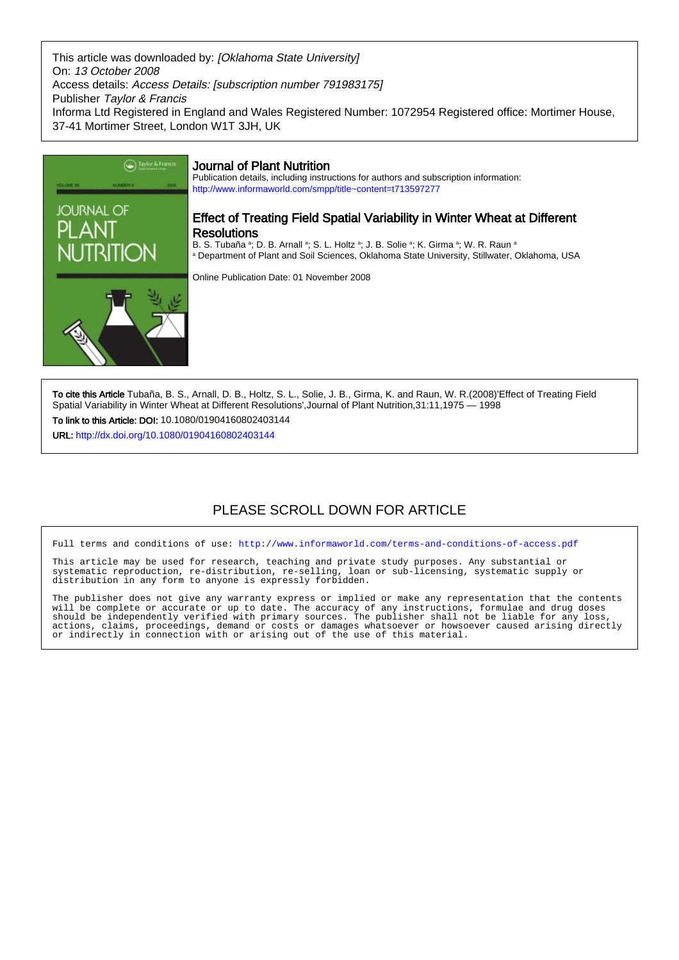This article was downloaded by: [Oklahoma State University] On: 13 October 2008 Access details: Access Details: [subscription number 791983175] Publisher Taylor & Francis Informa Ltd Registered in England and Wales Registered Number: 1072954 Registered office: Mortimer House, 37-41 Mortimer Street, London W1T 3JH, UK



To cite this Article Tubaña, B. S., Arnall, D. B., Holtz, S. L., Solie, J. B., Girma, K. and Raun, W. R.(2008)'Effect of Treating Field Spatial Variability in Winter Wheat at Different Resolutions',Journal of Plant Nutrition,31:11,1975 — 1998

To link to this Article: DOI: 10.1080/01904160802403144

URL: <http://dx.doi.org/10.1080/01904160802403144>

# PLEASE SCROLL DOWN FOR ARTICLE

Full terms and conditions of use:<http://www.informaworld.com/terms-and-conditions-of-access.pdf>

This article may be used for research, teaching and private study purposes. Any substantial or systematic reproduction, re-distribution, re-selling, loan or sub-licensing, systematic supply or systematic reproduction, re-distribution, re-selling, loan or sub-licensing, systematic supply or distribution in any form to anyone is expressly forbidden.

The publisher does not give any warranty express or implied or make any representation that the contents will be complete or accurate or up to date. The accuracy of any instructions, formulae and drug doses should be independently verified with primary sources. The publisher shall not be liable for any loss, actions, claims, proceedings, demand or costs or damages whatsoever or howsoever caused arising directly or indirectly in connection with or arising out of the use of this material.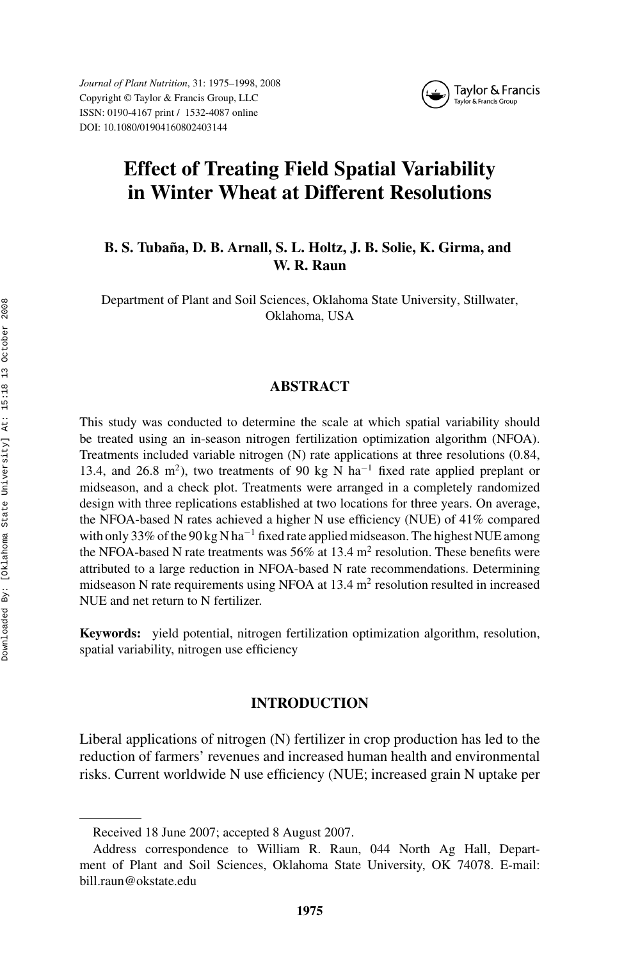*Journal of Plant Nutrition*, 31: 1975–1998, 2008 Copyright © Taylor & Francis Group, LLC ISSN: 0190-4167 print / 1532-4087 online DOI: 10.1080/01904160802403144



# **Effect of Treating Field Spatial Variability in Winter Wheat at Different Resolutions**

# **B. S. Tubana, D. B. Arnall, S. L. Holtz, J. B. Solie, K. Girma, and ˜ W. R. Raun**

Department of Plant and Soil Sciences, Oklahoma State University, Stillwater, Oklahoma, USA

## **ABSTRACT**

This study was conducted to determine the scale at which spatial variability should be treated using an in-season nitrogen fertilization optimization algorithm (NFOA). Treatments included variable nitrogen (N) rate applications at three resolutions (0.84, 13.4, and 26.8 m<sup>2</sup>), two treatments of 90 kg N ha<sup>-1</sup> fixed rate applied preplant or midseason, and a check plot. Treatments were arranged in a completely randomized design with three replications established at two locations for three years. On average, the NFOA-based N rates achieved a higher N use efficiency (NUE) of 41% compared with only 33% of the 90 kg N ha<sup> $-1$ </sup> fixed rate applied midseason. The highest NUE among the NFOA-based N rate treatments was 56% at 13.4  $m<sup>2</sup>$  resolution. These benefits were attributed to a large reduction in NFOA-based N rate recommendations. Determining midseason N rate requirements using NFOA at  $13.4 \text{ m}^2$  resolution resulted in increased NUE and net return to N fertilizer.

**Keywords:** yield potential, nitrogen fertilization optimization algorithm, resolution, spatial variability, nitrogen use efficiency

## **INTRODUCTION**

Liberal applications of nitrogen (N) fertilizer in crop production has led to the reduction of farmers' revenues and increased human health and environmental risks. Current worldwide N use efficiency (NUE; increased grain N uptake per

Received 18 June 2007; accepted 8 August 2007.

Address correspondence to William R. Raun, 044 North Ag Hall, Department of Plant and Soil Sciences, Oklahoma State University, OK 74078. E-mail: bill.raun@okstate.edu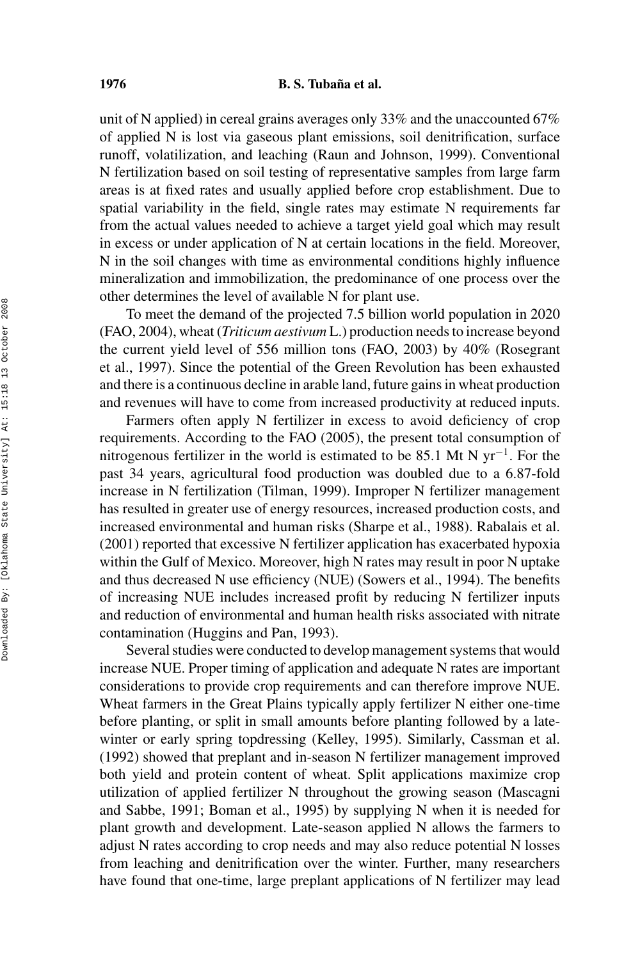#### **1976 B. S. Tubana et al.**

unit of N applied) in cereal grains averages only 33% and the unaccounted 67% of applied N is lost via gaseous plant emissions, soil denitrification, surface runoff, volatilization, and leaching (Raun and Johnson, 1999). Conventional N fertilization based on soil testing of representative samples from large farm areas is at fixed rates and usually applied before crop establishment. Due to spatial variability in the field, single rates may estimate N requirements far from the actual values needed to achieve a target yield goal which may result in excess or under application of N at certain locations in the field. Moreover, N in the soil changes with time as environmental conditions highly influence mineralization and immobilization, the predominance of one process over the other determines the level of available N for plant use.

To meet the demand of the projected 7.5 billion world population in 2020 (FAO, 2004), wheat (*Triticum aestivum* L.) production needs to increase beyond the current yield level of 556 million tons (FAO, 2003) by 40% (Rosegrant et al., 1997). Since the potential of the Green Revolution has been exhausted and there is a continuous decline in arable land, future gains in wheat production and revenues will have to come from increased productivity at reduced inputs.

Farmers often apply N fertilizer in excess to avoid deficiency of crop requirements. According to the FAO (2005), the present total consumption of nitrogenous fertilizer in the world is estimated to be 85.1 Mt N yr<sup>-1</sup>. For the past 34 years, agricultural food production was doubled due to a 6.87-fold increase in N fertilization (Tilman, 1999). Improper N fertilizer management has resulted in greater use of energy resources, increased production costs, and increased environmental and human risks (Sharpe et al., 1988). Rabalais et al. (2001) reported that excessive N fertilizer application has exacerbated hypoxia within the Gulf of Mexico. Moreover, high N rates may result in poor N uptake and thus decreased N use efficiency (NUE) (Sowers et al., 1994). The benefits of increasing NUE includes increased profit by reducing N fertilizer inputs and reduction of environmental and human health risks associated with nitrate contamination (Huggins and Pan, 1993).

Several studies were conducted to develop management systems that would increase NUE. Proper timing of application and adequate N rates are important considerations to provide crop requirements and can therefore improve NUE. Wheat farmers in the Great Plains typically apply fertilizer N either one-time before planting, or split in small amounts before planting followed by a latewinter or early spring topdressing (Kelley, 1995). Similarly, Cassman et al. (1992) showed that preplant and in-season N fertilizer management improved both yield and protein content of wheat. Split applications maximize crop utilization of applied fertilizer N throughout the growing season (Mascagni and Sabbe, 1991; Boman et al., 1995) by supplying N when it is needed for plant growth and development. Late-season applied N allows the farmers to adjust N rates according to crop needs and may also reduce potential N losses from leaching and denitrification over the winter. Further, many researchers have found that one-time, large preplant applications of N fertilizer may lead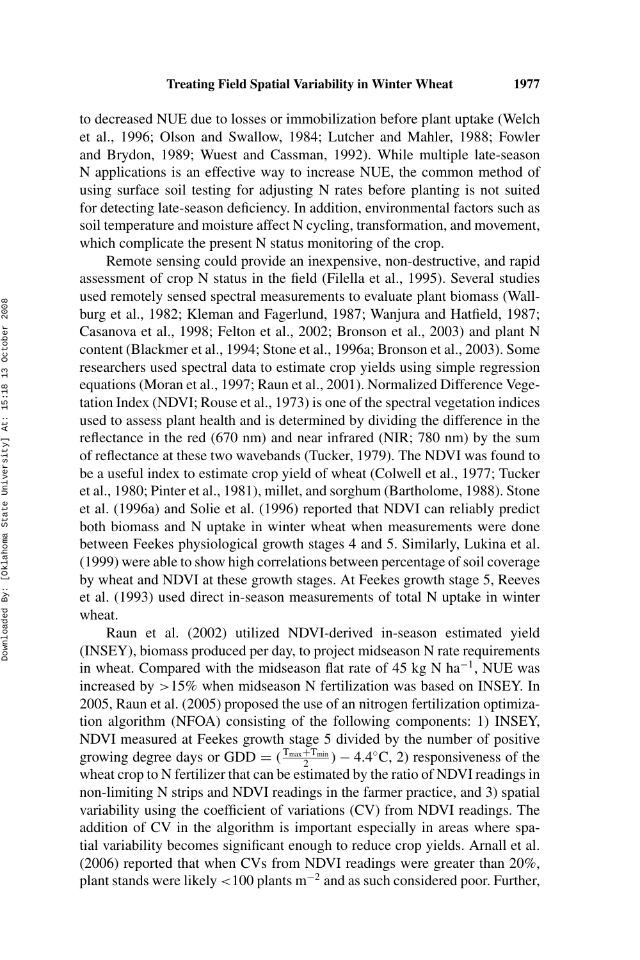to decreased NUE due to losses or immobilization before plant uptake (Welch et al., 1996; Olson and Swallow, 1984; Lutcher and Mahler, 1988; Fowler and Brydon, 1989; Wuest and Cassman, 1992). While multiple late-season N applications is an effective way to increase NUE, the common method of using surface soil testing for adjusting N rates before planting is not suited for detecting late-season deficiency. In addition, environmental factors such as soil temperature and moisture affect N cycling, transformation, and movement, which complicate the present N status monitoring of the crop.

Remote sensing could provide an inexpensive, non-destructive, and rapid assessment of crop N status in the field (Filella et al., 1995). Several studies used remotely sensed spectral measurements to evaluate plant biomass (Wallburg et al., 1982; Kleman and Fagerlund, 1987; Wanjura and Hatfield, 1987; Casanova et al., 1998; Felton et al., 2002; Bronson et al., 2003) and plant N content (Blackmer et al., 1994; Stone et al., 1996a; Bronson et al., 2003). Some researchers used spectral data to estimate crop yields using simple regression equations (Moran et al., 1997; Raun et al., 2001). Normalized Difference Vegetation Index (NDVI; Rouse et al., 1973) is one of the spectral vegetation indices used to assess plant health and is determined by dividing the difference in the reflectance in the red (670 nm) and near infrared (NIR; 780 nm) by the sum of reflectance at these two wavebands (Tucker, 1979). The NDVI was found to be a useful index to estimate crop yield of wheat (Colwell et al., 1977; Tucker et al., 1980; Pinter et al., 1981), millet, and sorghum (Bartholome, 1988). Stone et al. (1996a) and Solie et al. (1996) reported that NDVI can reliably predict both biomass and N uptake in winter wheat when measurements were done between Feekes physiological growth stages 4 and 5. Similarly, Lukina et al. (1999) were able to show high correlations between percentage of soil coverage by wheat and NDVI at these growth stages. At Feekes growth stage 5, Reeves et al. (1993) used direct in-season measurements of total N uptake in winter wheat.

Raun et al. (2002) utilized NDVI-derived in-season estimated yield (INSEY), biomass produced per day, to project midseason N rate requirements in wheat. Compared with the midseason flat rate of 45 kg N ha<sup>-1</sup>, NUE was increased by *>*15% when midseason N fertilization was based on INSEY. In 2005, Raun et al. (2005) proposed the use of an nitrogen fertilization optimization algorithm (NFOA) consisting of the following components: 1) INSEY, NDVI measured at Feekes growth stage 5 divided by the number of positive growing degree days or GDD =  $(\frac{T_{\text{max}}+T_{\text{min}}}{2}) - 4.4$ °C, 2) responsiveness of the wheat crop to N fertilizer that can be estimated by the ratio of NDVI readings in non-limiting N strips and NDVI readings in the farmer practice, and 3) spatial variability using the coefficient of variations (CV) from NDVI readings. The addition of CV in the algorithm is important especially in areas where spatial variability becomes significant enough to reduce crop yields. Arnall et al. (2006) reported that when CVs from NDVI readings were greater than 20%, plant stands were likely *<*100 plants m−<sup>2</sup> and as such considered poor. Further,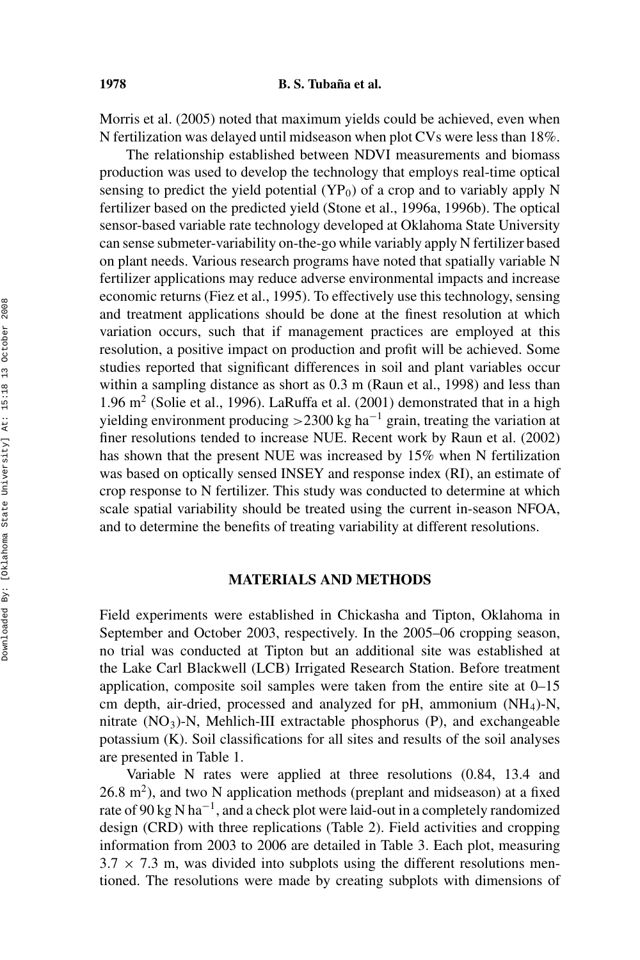Morris et al. (2005) noted that maximum yields could be achieved, even when N fertilization was delayed until midseason when plot CVs were less than 18%.

The relationship established between NDVI measurements and biomass production was used to develop the technology that employs real-time optical sensing to predict the yield potential  $(YP_0)$  of a crop and to variably apply N fertilizer based on the predicted yield (Stone et al., 1996a, 1996b). The optical sensor-based variable rate technology developed at Oklahoma State University can sense submeter-variability on-the-go while variably apply N fertilizer based on plant needs. Various research programs have noted that spatially variable N fertilizer applications may reduce adverse environmental impacts and increase economic returns (Fiez et al., 1995). To effectively use this technology, sensing and treatment applications should be done at the finest resolution at which variation occurs, such that if management practices are employed at this resolution, a positive impact on production and profit will be achieved. Some studies reported that significant differences in soil and plant variables occur within a sampling distance as short as 0.3 m (Raun et al., 1998) and less than 1.96 m<sup>2</sup> (Solie et al., 1996). LaRuffa et al. (2001) demonstrated that in a high yielding environment producing *>*2300 kg ha−<sup>1</sup> grain, treating the variation at finer resolutions tended to increase NUE. Recent work by Raun et al. (2002) has shown that the present NUE was increased by 15% when N fertilization was based on optically sensed INSEY and response index (RI), an estimate of crop response to N fertilizer. This study was conducted to determine at which scale spatial variability should be treated using the current in-season NFOA, and to determine the benefits of treating variability at different resolutions.

## **MATERIALS AND METHODS**

Field experiments were established in Chickasha and Tipton, Oklahoma in September and October 2003, respectively. In the 2005–06 cropping season, no trial was conducted at Tipton but an additional site was established at the Lake Carl Blackwell (LCB) Irrigated Research Station. Before treatment application, composite soil samples were taken from the entire site at 0–15 cm depth, air-dried, processed and analyzed for pH, ammonium  $(NH<sub>4</sub>)-N$ , nitrate  $(NO<sub>3</sub>)$ -N, Mehlich-III extractable phosphorus  $(P)$ , and exchangeable potassium (K). Soil classifications for all sites and results of the soil analyses are presented in Table 1.

Variable N rates were applied at three resolutions (0.84, 13.4 and  $26.8$  m<sup>2</sup>), and two N application methods (preplant and midseason) at a fixed rate of 90 kg N ha<sup>-1</sup>, and a check plot were laid-out in a completely randomized design (CRD) with three replications (Table 2). Field activities and cropping information from 2003 to 2006 are detailed in Table 3. Each plot, measuring  $3.7 \times 7.3$  m, was divided into subplots using the different resolutions mentioned. The resolutions were made by creating subplots with dimensions of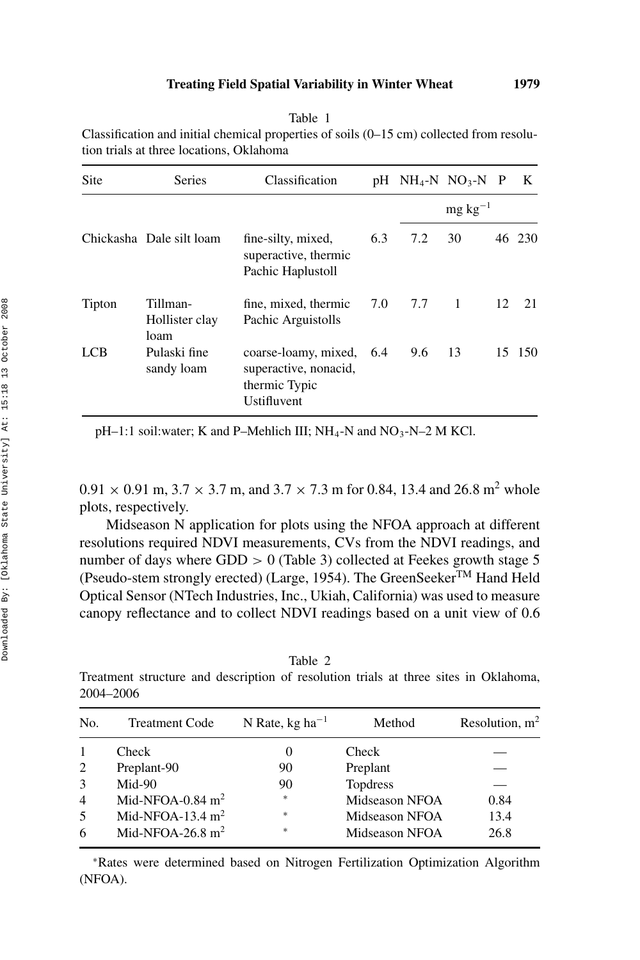| I | ۰, |
|---|----|
| ٠ | ٠  |

| anie |  |
|------|--|
|------|--|

Classification and initial chemical properties of soils (0–15 cm) collected from resolution trials at three locations, Oklahoma

| Site   | <b>Series</b>                      | Classification                                                                    |     |       | $pH \quad NH_4-N \quad NO_3-N \quad P$ |    | K      |
|--------|------------------------------------|-----------------------------------------------------------------------------------|-----|-------|----------------------------------------|----|--------|
|        |                                    |                                                                                   |     |       | $mg \, kg^{-1}$                        |    |        |
|        | Chickasha Dale silt loam           | fine-silty, mixed,<br>superactive, thermic<br>Pachic Haplustoll                   | 6.3 | 7.2   | 30                                     |    | 46 230 |
| Tipton | Tillman-<br>Hollister clay<br>loam | fine, mixed, thermic<br>Pachic Arguistolls                                        | 7.0 | 7.7 1 |                                        | 12 | 21     |
| LCB    | Pulaski fine<br>sandy loam         | coarse-loamy, mixed, 6.4<br>superactive, nonacid,<br>thermic Typic<br>Ustifluvent |     | 9.6   | - 13                                   |    | 15 150 |

 $pH-1:1$  soil:water; K and P–Mehlich III; NH<sub>4</sub>-N and NO<sub>3</sub>-N–2 M KCl.

 $0.91 \times 0.91$  m,  $3.7 \times 3.7$  m, and  $3.7 \times 7.3$  m for 0.84, 13.4 and 26.8 m<sup>2</sup> whole plots, respectively.

Midseason N application for plots using the NFOA approach at different resolutions required NDVI measurements, CVs from the NDVI readings, and number of days where GDD  $> 0$  (Table 3) collected at Feekes growth stage 5 (Pseudo-stem strongly erected) (Large, 1954). The GreenSeeker<sup>TM</sup> Hand Held Optical Sensor (NTech Industries, Inc., Ukiah, California) was used to measure canopy reflectance and to collect NDVI readings based on a unit view of 0.6

| ante |  |
|------|--|
|------|--|

Treatment structure and description of resolution trials at three sites in Oklahoma, 2004–2006

| No. | <b>Treatment Code</b> | N Rate, $kg \, ha^{-1}$ | Method          | Resolution, $m2$ |
|-----|-----------------------|-------------------------|-----------------|------------------|
|     | Check                 | 0                       | Check           |                  |
| 2   | Preplant-90           | 90                      | Preplant        |                  |
| 3   | Mid-90                | 90                      | <b>Topdress</b> |                  |
| 4   | Mid-NFOA-0.84 $m2$    | *                       | Midseason NFOA  | 0.84             |
| 5   | Mid-NFOA-13.4 $m2$    | *                       | Midseason NFOA  | 13.4             |
| 6   | Mid-NFOA-26.8 $m2$    | *                       | Midseason NFOA  | 26.8             |
|     |                       |                         |                 |                  |

<sup>∗</sup>Rates were determined based on Nitrogen Fertilization Optimization Algorithm (NFOA).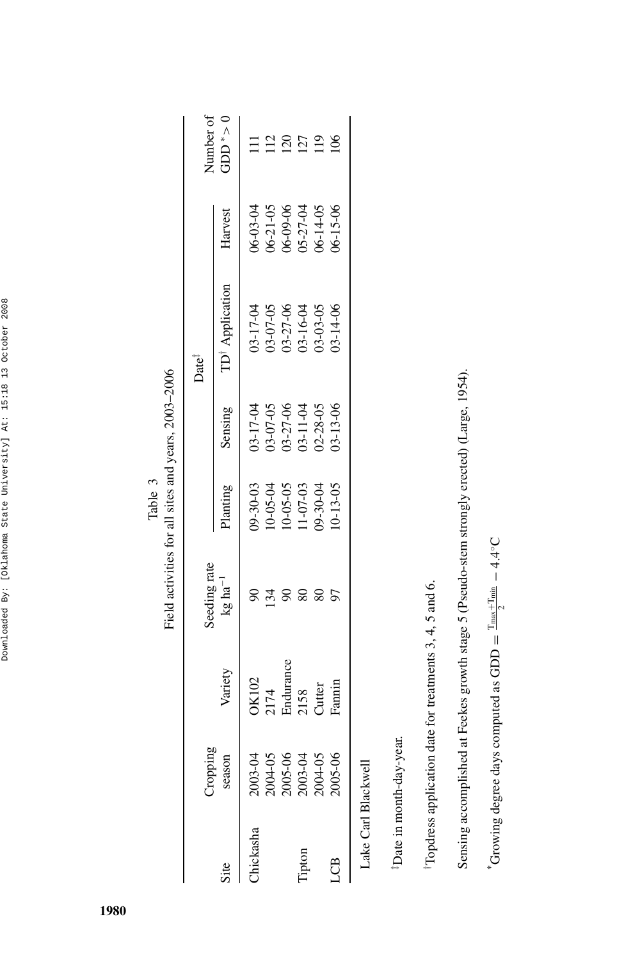| ١<br>ı                                                    |
|-----------------------------------------------------------|
| ı<br>١<br>١<br>ļ<br>l<br>١                                |
| ¢<br>١<br>I                                               |
| ¢<br>١<br>ł<br>١<br>i                                     |
| þ<br>ı<br>l                                               |
| l<br>ļ<br>ì<br>I<br>i<br>I<br>$\mathbf{r}$<br>į<br>j<br>ś |
| J<br>I<br>b<br>ţ<br>¢<br>J<br>ł                           |
| $\ddot{\phantom{a}}$<br>١<br>Ï<br>ı<br>Ï<br>I             |
| l<br>l<br>ı                                               |
| ī<br>ţ<br>١<br>Ï<br>j<br>l                                |

Field activities for all sites and years, 2003-2006 Field activities for all sites and years, 2003–2006 Table 3

| <b>Guidor</b>                                                  |                                              |                                 |                                                                      |                                                                      | Date <sup>i</sup>                                        |                                                                      |                                                                                                                                                                                                                                                                                               |
|----------------------------------------------------------------|----------------------------------------------|---------------------------------|----------------------------------------------------------------------|----------------------------------------------------------------------|----------------------------------------------------------|----------------------------------------------------------------------|-----------------------------------------------------------------------------------------------------------------------------------------------------------------------------------------------------------------------------------------------------------------------------------------------|
| season                                                         | Variety                                      | Seeding rate<br>$kg \, ha^{-1}$ | lanting                                                              | Sensing                                                              | <b>D</b> <sup>†</sup> Application                        | Harvest                                                              | $\frac{1}{2}$ and $\frac{1}{2}$ and $\frac{1}{2}$ and $\frac{1}{2}$ and $\frac{1}{2}$ and $\frac{1}{2}$ and $\frac{1}{2}$ and $\frac{1}{2}$ and $\frac{1}{2}$ and $\frac{1}{2}$ and $\frac{1}{2}$ and $\frac{1}{2}$ and $\frac{1}{2}$ and $\frac{1}{2}$ and $\frac{1}{2}$ and $\frac{1}{2}$ a |
|                                                                |                                              |                                 |                                                                      |                                                                      |                                                          |                                                                      |                                                                                                                                                                                                                                                                                               |
| 2003-04<br>2004-05<br>2005-06<br>2003-04<br>2005-06<br>2005-06 | OK102<br>2174<br>Endurance<br>2158<br>Cutter |                                 | 09-30-03<br>10-05-04<br>10-05-05<br>11-07-03<br>20-30-04<br>20-13-05 | 15-17-04<br>15-07-05<br>15-27-06<br>15-11-04<br>15-13-06<br>15-13-06 | 03-17-04<br>03-07-05<br>03-27-06<br>03-16-04<br>03-14-06 | 06-03-04<br>06-21-05<br>06-09-06<br>06-14-05<br>06-14-05<br>06-15-06 |                                                                                                                                                                                                                                                                                               |
|                                                                |                                              |                                 |                                                                      |                                                                      |                                                          |                                                                      |                                                                                                                                                                                                                                                                                               |
|                                                                |                                              |                                 |                                                                      |                                                                      |                                                          |                                                                      |                                                                                                                                                                                                                                                                                               |
|                                                                |                                              |                                 |                                                                      |                                                                      |                                                          |                                                                      |                                                                                                                                                                                                                                                                                               |
|                                                                | Tamin                                        |                                 |                                                                      |                                                                      |                                                          |                                                                      |                                                                                                                                                                                                                                                                                               |
| ake Carl Blackwell.                                            |                                              |                                 |                                                                      |                                                                      |                                                          |                                                                      |                                                                                                                                                                                                                                                                                               |

<sup>‡</sup>Date in month-day-year. ‡Date in month-day-year.

<sup>†</sup>Topdress application date for treatments  $3, 4, 5$  and 6. †Topdress application date for treatments 3, 4, 5 and 6.

Sensing accomplished at Feekes growth stage 5 (Pseudo-stem strongly erected) (Large, 1954). Sensing accomplished at Feekes growth stage 5 (Pseudo-stem strongly erected) (Large, 1954).

\* Growing degree days computed as GDD =  $\frac{\text{T}_{\text{max}} + \text{T}_{\text{min}}}{2} - 4.4^{\circ}\text{C}$  $*$ Growing degree days computed as GDD =  $\frac{\Gamma_{\text{max}}+\Gamma_{\text{min}}}{2}$  – 4.4°C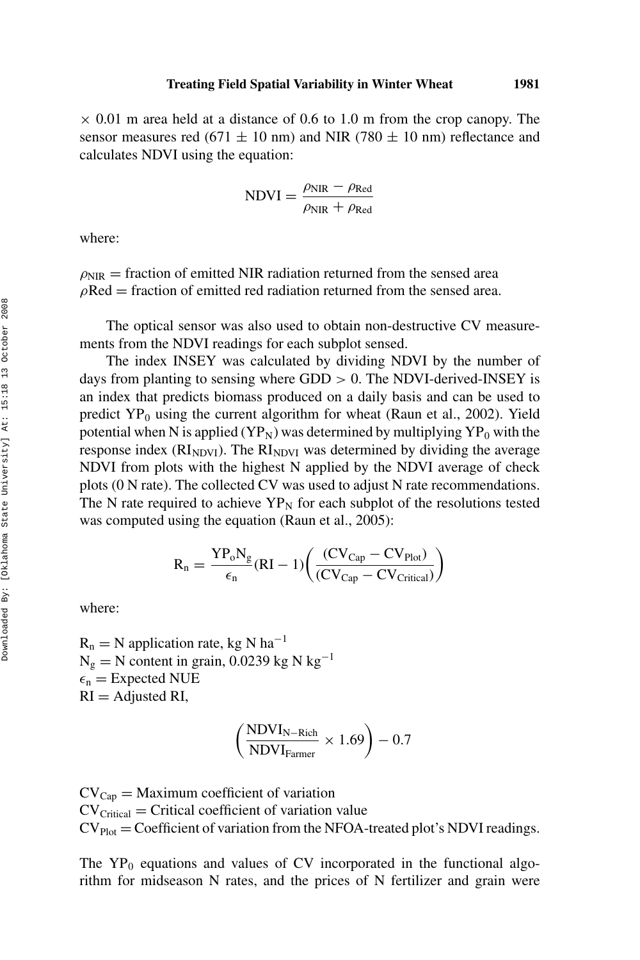$\times$  0.01 m area held at a distance of 0.6 to 1.0 m from the crop canopy. The sensor measures red (671  $\pm$  10 nm) and NIR (780  $\pm$  10 nm) reflectance and calculates NDVI using the equation:

$$
NDVI = \frac{\rho_{NIR} - \rho_{Red}}{\rho_{NIR} + \rho_{Red}}
$$

where:

 $\rho_{\text{NIR}}$  = fraction of emitted NIR radiation returned from the sensed area  $\rho$ Red = fraction of emitted red radiation returned from the sensed area.

The optical sensor was also used to obtain non-destructive CV measurements from the NDVI readings for each subplot sensed.

The index INSEY was calculated by dividing NDVI by the number of days from planting to sensing where GDD *>* 0. The NDVI-derived-INSEY is an index that predicts biomass produced on a daily basis and can be used to predict  $YP_0$  using the current algorithm for wheat (Raun et al., 2002). Yield potential when N is applied ( $YP_N$ ) was determined by multiplying  $YP_0$  with the response index  $(RI_{NDVI})$ . The  $RI_{NDVI}$  was determined by dividing the average NDVI from plots with the highest N applied by the NDVI average of check plots (0 N rate). The collected CV was used to adjust N rate recommendations. The N rate required to achieve  $YP<sub>N</sub>$  for each subplot of the resolutions tested was computed using the equation (Raun et al., 2005):

$$
R_n = \frac{YP_o N_g}{\epsilon_n}(RI - 1) \bigg( \frac{(CV_{Cap} - CV_{Plot})}{(CV_{Cap} - CV_{Critical})} \bigg)
$$

where:

 $R_n = N$  application rate, kg N ha<sup>-1</sup>  $N_g = N$  content in grain, 0.0239 kg N kg<sup>-1</sup>  $\epsilon_{\rm n}$  = Expected NUE  $RI =$  Adjusted RI,

$$
\left(\frac{\text{NDVI}_{\text{N-Rich}}}{\text{NDVI}_{\text{Farmer}}} \times 1.69\right) - 0.7
$$

 $CV_{Cap} =$  Maximum coefficient of variation  $CV<sub>Critical</sub> = Critical coefficient of variation value$  $CV<sub>Plot</sub> = Coefficient of variation from the NFOA-treated plot's NDVI readings.$ 

The  $YP_0$  equations and values of CV incorporated in the functional algorithm for midseason N rates, and the prices of N fertilizer and grain were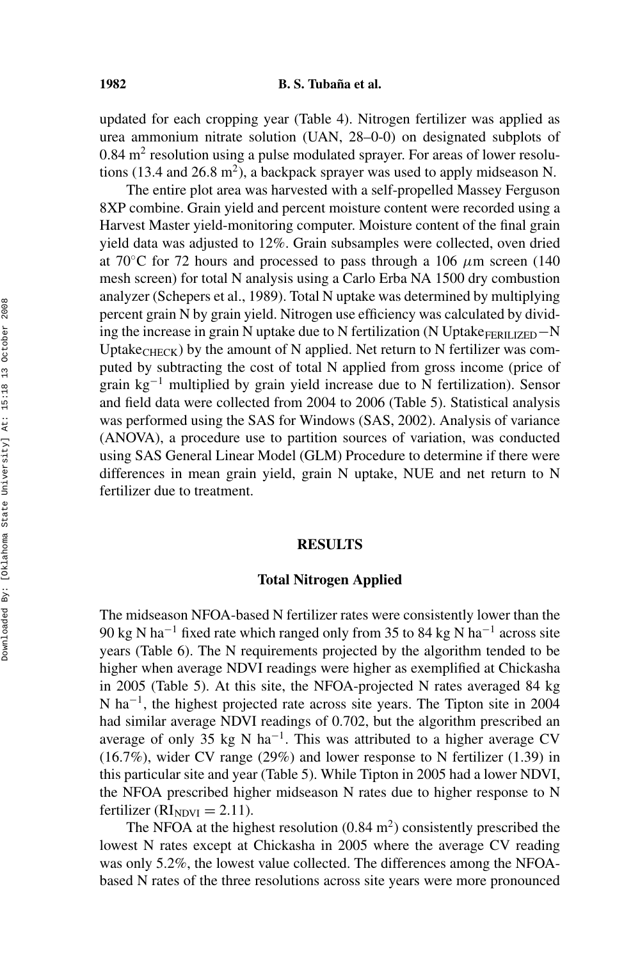updated for each cropping year (Table 4). Nitrogen fertilizer was applied as urea ammonium nitrate solution (UAN, 28–0-0) on designated subplots of  $0.84$  m<sup>2</sup> resolution using a pulse modulated sprayer. For areas of lower resolutions (13.4 and 26.8 m<sup>2</sup>), a backpack sprayer was used to apply midseason N.

The entire plot area was harvested with a self-propelled Massey Ferguson 8XP combine. Grain yield and percent moisture content were recorded using a Harvest Master yield-monitoring computer. Moisture content of the final grain yield data was adjusted to 12%. Grain subsamples were collected, oven dried at 70 $\degree$ C for 72 hours and processed to pass through a 106  $\mu$ m screen (140) mesh screen) for total N analysis using a Carlo Erba NA 1500 dry combustion analyzer (Schepers et al., 1989). Total N uptake was determined by multiplying percent grain N by grain yield. Nitrogen use efficiency was calculated by dividing the increase in grain N uptake due to N fertilization (N Uptake<sub>FERILIZED</sub> $-N$ Uptake<sub>CHECK</sub>) by the amount of N applied. Net return to N fertilizer was computed by subtracting the cost of total N applied from gross income (price of grain kg−<sup>1</sup> multiplied by grain yield increase due to N fertilization). Sensor and field data were collected from 2004 to 2006 (Table 5). Statistical analysis was performed using the SAS for Windows (SAS, 2002). Analysis of variance (ANOVA), a procedure use to partition sources of variation, was conducted using SAS General Linear Model (GLM) Procedure to determine if there were differences in mean grain yield, grain N uptake, NUE and net return to N fertilizer due to treatment.

## **RESULTS**

# **Total Nitrogen Applied**

The midseason NFOA-based N fertilizer rates were consistently lower than the 90 kg N ha<sup>-1</sup> fixed rate which ranged only from 35 to 84 kg N ha<sup>-1</sup> across site years (Table 6). The N requirements projected by the algorithm tended to be higher when average NDVI readings were higher as exemplified at Chickasha in 2005 (Table 5). At this site, the NFOA-projected N rates averaged 84 kg N ha−1, the highest projected rate across site years. The Tipton site in 2004 had similar average NDVI readings of 0.702, but the algorithm prescribed an average of only 35 kg N ha<sup>-1</sup>. This was attributed to a higher average CV (16.7%), wider CV range (29%) and lower response to N fertilizer (1.39) in this particular site and year (Table 5). While Tipton in 2005 had a lower NDVI, the NFOA prescribed higher midseason N rates due to higher response to N fertilizer ( $RI<sub>NDVI</sub> = 2.11$ ).

The NFOA at the highest resolution  $(0.84 \text{ m}^2)$  consistently prescribed the lowest N rates except at Chickasha in 2005 where the average CV reading was only 5.2%, the lowest value collected. The differences among the NFOAbased N rates of the three resolutions across site years were more pronounced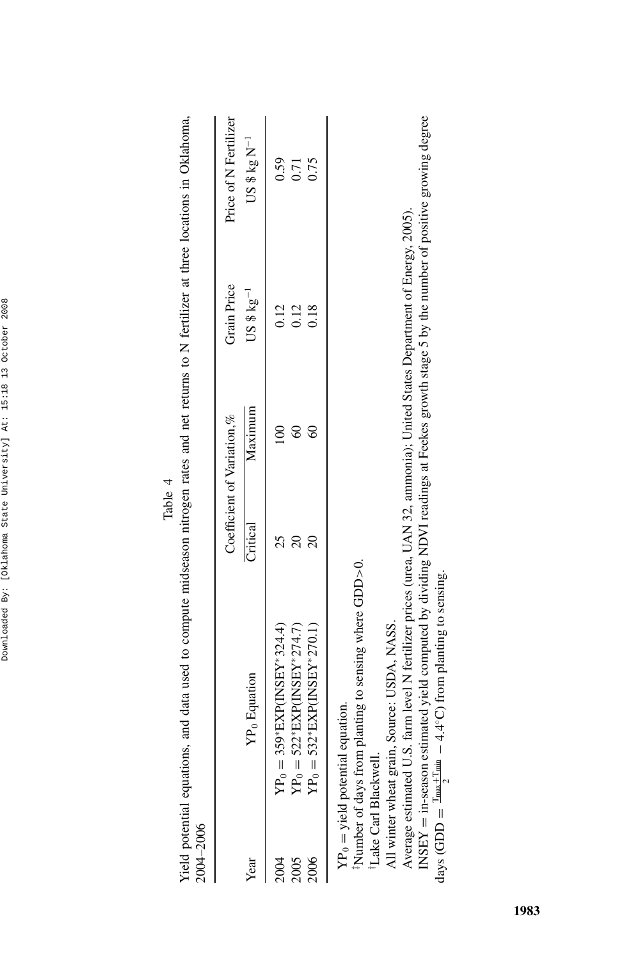| 2004-2006 |                                                                                                                                   |          |                            |                  |                       |
|-----------|-----------------------------------------------------------------------------------------------------------------------------------|----------|----------------------------|------------------|-----------------------|
|           |                                                                                                                                   |          | Coefficient of Variation,% | Grain Price      | Price of N Fertilizer |
| Year      | YP <sub>0</sub> Equation                                                                                                          | Critical | Maximum                    | $US \$ $kg^{-1}$ | US $$kg N-1$          |
| 2004      | $YP_0 = 359*$ EXP(INSEY*324.4)                                                                                                    |          |                            | 0.12             | 0.59                  |
| 2005      | $YP_0 = 522*EXP(INSEY*274.7)$                                                                                                     |          |                            | 0.12             | 0.71                  |
| 2006      | $YP_0 = 532*EXP(INSEY*270.1)$                                                                                                     |          | ç                          | 0.18             | 0.75                  |
|           | $YP_0$ = yield potential equation.<br><sup>1</sup> Number of days from planting to sensing where GDD > 0.<br>Lake Carl Blackwell. |          |                            |                  |                       |

Yield potential equations, and data used to compute midseason nitrogen rates and net returns to N fertilizer at three locations in Oklahoma, Yield potential equations, and data used to compute midseason nitrogen rates and net returns to N fertilizer at three locations in Oklahoma, Table 4

All winter wheat grain, Source: USDA, NASS. All winter wheat grain, Source: USDA, NASS.

Average estimated U.S. farm level N fertilizer prices (urea, UAN 32, ammonia); United States Department of Energy, 2005). Average estimated U.S. farm level N fertilizer prices (urea, UAN 32, ammonia); United States Department of Energy, 2005).

INSEY = in-season estimated yield computed by dividing NDVI readings at Feekes growth stage 5 by the number of positive growing degree days (GDD =  $\frac{\text{Im}\omega + \text{Im}\omega}{\text{Im}\omega} - 4.4^{\circ}\text{C}$ ) from planting to sensing. INSEY = in-season estimated yield computed by dividing NDVI readings at Feekes growth stage 5 by the number of positive growing degree days (GDD =  $\frac{\text{T}_{\text{max}} + \text{T}_{\text{min}}}{2} - 4.4$ °C) from planting to sensing.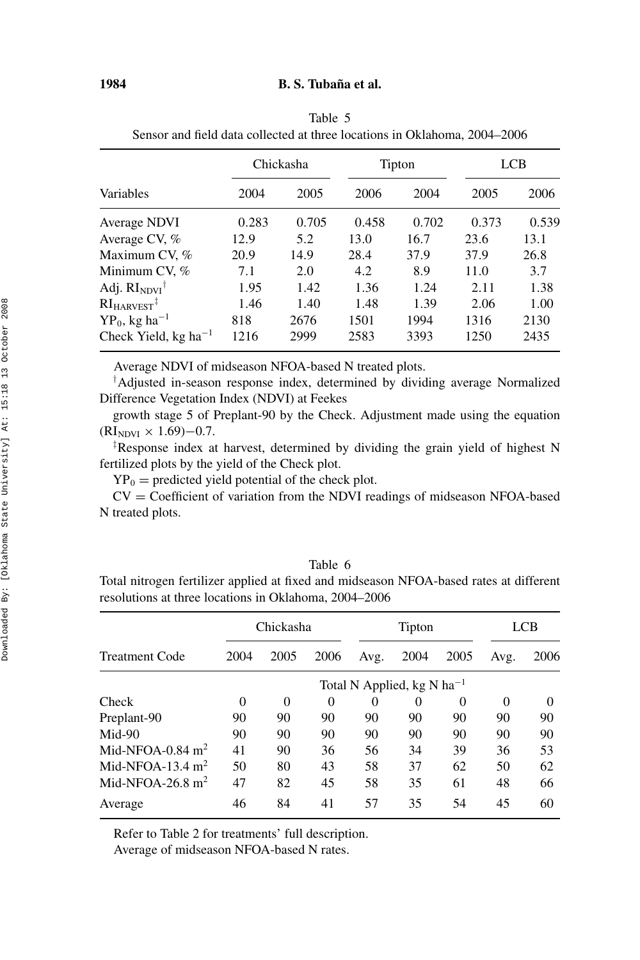|                                               |       | Chickasha |       | Tipton |       | LCB   |  |  |
|-----------------------------------------------|-------|-----------|-------|--------|-------|-------|--|--|
| Variables                                     | 2004  | 2005      | 2006  | 2004   | 2005  | 2006  |  |  |
| Average NDVI                                  | 0.283 | 0.705     | 0.458 | 0.702  | 0.373 | 0.539 |  |  |
| Average CV, %                                 | 12.9  | 5.2       | 13.0  | 16.7   | 23.6  | 13.1  |  |  |
| Maximum CV, %                                 | 20.9  | 14.9      | 28.4  | 37.9   | 37.9  | 26.8  |  |  |
| Minimum CV, %                                 | 7.1   | 2.0       | 4.2   | 8.9    | 11.0  | 3.7   |  |  |
| Adj. $RI_{NDVI}$ <sup>†</sup>                 | 1.95  | 1.42      | 1.36  | 1.24   | 2.11  | 1.38  |  |  |
| $RIHARVEST$ <sup>‡</sup>                      | 1.46  | 1.40      | 1.48  | 1.39   | 2.06  | 1.00  |  |  |
| $YP_0$ , kg ha <sup>-1</sup>                  | 818   | 2676      | 1501  | 1994   | 1316  | 2130  |  |  |
| Check Yield, kg ha <sup><math>-1</math></sup> | 1216  | 2999      | 2583  | 3393   | 1250  | 2435  |  |  |

Table 5 Sensor and field data collected at three locations in Oklahoma, 2004–2006

Average NDVI of midseason NFOA-based N treated plots.

† Adjusted in-season response index, determined by dividing average Normalized Difference Vegetation Index (NDVI) at Feekes

growth stage 5 of Preplant-90 by the Check. Adjustment made using the equation  $(RI_{NDVI} \times 1.69) - 0.7$ .

‡ Response index at harvest, determined by dividing the grain yield of highest N fertilized plots by the yield of the Check plot.

 $YP_0$  = predicted yield potential of the check plot.

CV = Coefficient of variation from the NDVI readings of midseason NFOA-based N treated plots.

|--|--|

Total nitrogen fertilizer applied at fixed and midseason NFOA-based rates at different resolutions at three locations in Oklahoma, 2004–2006

|                    |      | Chickasha |          |          | Tipton                                          |          |          | LCB      |
|--------------------|------|-----------|----------|----------|-------------------------------------------------|----------|----------|----------|
| Treatment Code     | 2004 | 2005      | 2006     | Avg.     | 2004                                            | 2005     | Avg.     | 2006     |
|                    |      |           |          |          | Total N Applied, $kg \text{ N} \text{ ha}^{-1}$ |          |          |          |
| Check              | 0    | 0         | $\theta$ | $\Omega$ | $\theta$                                        | $\Omega$ | $\Omega$ | $\Omega$ |
| Preplant-90        | 90   | 90        | 90       | 90       | 90                                              | 90       | 90       | 90       |
| Mid-90             | 90   | 90        | 90       | 90       | 90                                              | 90       | 90       | 90       |
| Mid-NFOA-0.84 $m2$ | 41   | 90        | 36       | 56       | 34                                              | 39       | 36       | 53       |
| Mid-NFOA-13.4 $m2$ | 50   | 80        | 43       | 58       | 37                                              | 62       | 50       | 62       |
| Mid-NFOA-26.8 $m2$ | 47   | 82        | 45       | 58       | 35                                              | 61       | 48       | 66       |
| Average            | 46   | 84        | 41       | 57       | 35                                              | 54       | 45       | 60       |
|                    |      |           |          |          |                                                 |          |          |          |

Refer to Table 2 for treatments' full description.

Average of midseason NFOA-based N rates.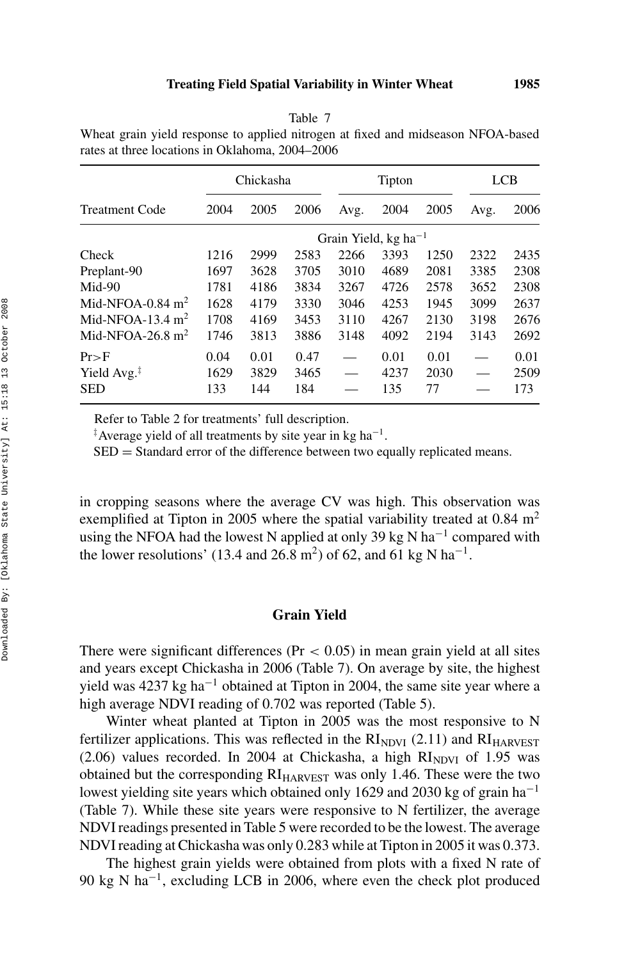| rates at three locations in Oklahoma, 2004–2006 |      |           |      |      |                                    |      |      |            |
|-------------------------------------------------|------|-----------|------|------|------------------------------------|------|------|------------|
|                                                 |      | Chickasha |      |      | Tipton                             |      |      | <b>LCB</b> |
| <b>Treatment Code</b>                           | 2004 | 2005      | 2006 |      | Avg. 2004 2005                     |      | Avg. | 2006       |
|                                                 |      |           |      |      | Grain Yield, $kg$ ha <sup>-1</sup> |      |      |            |
| Check                                           | 1216 | 2999      | 2583 | 2266 | 3393                               | 1250 | 2322 | 2435       |
| Preplant-90                                     | 1697 | 3628      | 3705 | 3010 | 4689                               | 2081 | 3385 | 2308       |

Mid-90 1781 4186 3834 3267 4726 2578 3652 2308 Mid-NFOA-0.84 m<sup>2</sup> 1628 4179 3330 3046 4253 1945 3099 2637 Mid-NFOA-13.4 m<sup>2</sup> 1708 4169 3453 3110 4267 2130 3198 2676 Mid-NFOA-26.8 m<sup>2</sup> 1746 3813 3886 3148 4092 2194 3143 2692 Pr*>*F 0*.*04 0*.*01 0*.*47 — 0*.*01 0*.*01 — 0*.*01 Yield Avg.<sup>‡</sup> 1629 3829 3465 — 4237 2030 — 2509 SED 133 144 184 — 135 77 — 173

Table 7

Wheat grain yield response to applied nitrogen at fixed and midseason NFOA-based

Refer to Table 2 for treatments' full description.

‡ Average yield of all treatments by site year in kg ha−1.

 $SED = Standard error of the difference between two equally replicated means.$ 

in cropping seasons where the average CV was high. This observation was exemplified at Tipton in 2005 where the spatial variability treated at  $0.84 \text{ m}^2$ using the NFOA had the lowest N applied at only 39 kg N ha<sup>-1</sup> compared with the lower resolutions' (13.4 and 26.8 m<sup>2</sup>) of 62, and 61 kg N ha<sup>-1</sup>.

# **Grain Yield**

There were significant differences ( $Pr < 0.05$ ) in mean grain yield at all sites and years except Chickasha in 2006 (Table 7). On average by site, the highest yield was 4237 kg ha<sup>-1</sup> obtained at Tipton in 2004, the same site year where a high average NDVI reading of 0.702 was reported (Table 5).

Winter wheat planted at Tipton in 2005 was the most responsive to N fertilizer applications. This was reflected in the  $RI<sub>NDVI</sub>$  (2.11) and  $RI<sub>HARVEST</sub>$  $(2.06)$  values recorded. In 2004 at Chickasha, a high  $RI<sub>NDYI</sub>$  of 1.95 was obtained but the corresponding  $RI<sub>HARVEST</sub>$  was only 1.46. These were the two lowest yielding site years which obtained only 1629 and 2030 kg of grain ha−<sup>1</sup> (Table 7). While these site years were responsive to N fertilizer, the average NDVI readings presented in Table 5 were recorded to be the lowest. The average NDVI reading at Chickasha was only 0.283 while at Tipton in 2005 it was 0.373.

The highest grain yields were obtained from plots with a fixed N rate of 90 kg N ha−1, excluding LCB in 2006, where even the check plot produced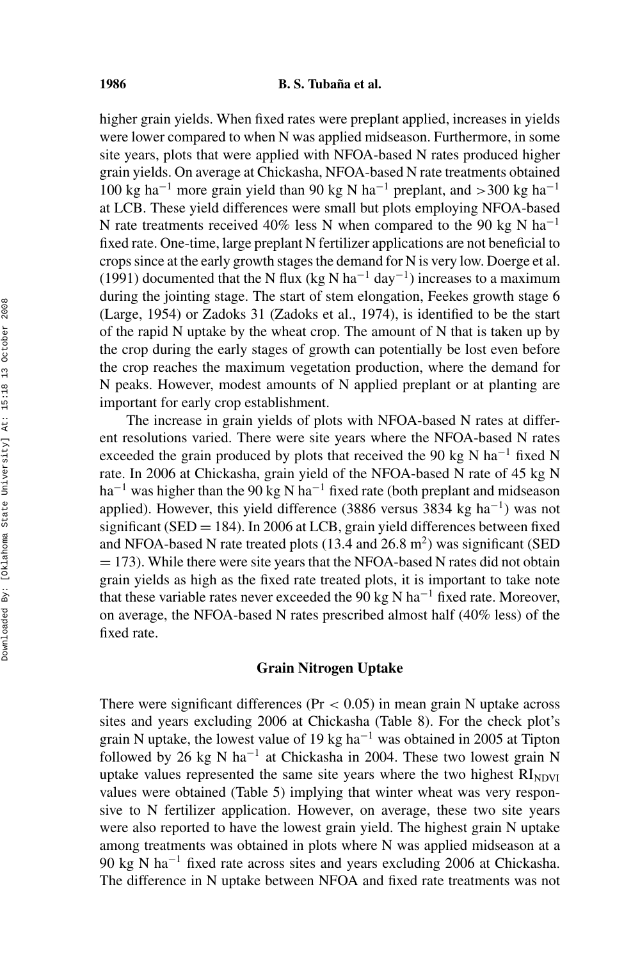higher grain yields. When fixed rates were preplant applied, increases in yields were lower compared to when N was applied midseason. Furthermore, in some site years, plots that were applied with NFOA-based N rates produced higher grain yields. On average at Chickasha, NFOA-based N rate treatments obtained 100 kg ha−<sup>1</sup> more grain yield than 90 kg N ha−<sup>1</sup> preplant, and *>*300 kg ha−<sup>1</sup> at LCB. These yield differences were small but plots employing NFOA-based N rate treatments received 40% less N when compared to the 90 kg N ha<sup>-1</sup> fixed rate. One-time, large preplant N fertilizer applications are not beneficial to crops since at the early growth stages the demand for N is very low. Doerge et al. (1991) documented that the N flux (kg N ha<sup>-1</sup> day<sup>-1</sup>) increases to a maximum during the jointing stage. The start of stem elongation, Feekes growth stage 6 (Large, 1954) or Zadoks 31 (Zadoks et al., 1974), is identified to be the start of the rapid N uptake by the wheat crop. The amount of N that is taken up by the crop during the early stages of growth can potentially be lost even before the crop reaches the maximum vegetation production, where the demand for N peaks. However, modest amounts of N applied preplant or at planting are important for early crop establishment.

The increase in grain yields of plots with NFOA-based N rates at different resolutions varied. There were site years where the NFOA-based N rates exceeded the grain produced by plots that received the 90 kg N ha<sup>-1</sup> fixed N rate. In 2006 at Chickasha, grain yield of the NFOA-based N rate of 45 kg N ha<sup>-1</sup> was higher than the 90 kg N ha<sup>-1</sup> fixed rate (both preplant and midseason applied). However, this yield difference (3886 versus 3834 kg ha−1) was not significant (SED  $=$  184). In 2006 at LCB, grain yield differences between fixed and NFOA-based N rate treated plots  $(13.4 \text{ and } 26.8 \text{ m}^2)$  was significant (SED  $= 173$ ). While there were site years that the NFOA-based N rates did not obtain grain yields as high as the fixed rate treated plots, it is important to take note that these variable rates never exceeded the 90 kg N ha<sup>-1</sup> fixed rate. Moreover, on average, the NFOA-based N rates prescribed almost half (40% less) of the fixed rate.

## **Grain Nitrogen Uptake**

There were significant differences (Pr *<* 0.05) in mean grain N uptake across sites and years excluding 2006 at Chickasha (Table 8). For the check plot's grain N uptake, the lowest value of 19 kg ha<sup> $-1$ </sup> was obtained in 2005 at Tipton followed by 26 kg N ha<sup>-1</sup> at Chickasha in 2004. These two lowest grain N uptake values represented the same site years where the two highest  $RI<sub>NDUI</sub>$ values were obtained (Table 5) implying that winter wheat was very responsive to N fertilizer application. However, on average, these two site years were also reported to have the lowest grain yield. The highest grain N uptake among treatments was obtained in plots where N was applied midseason at a 90 kg N ha<sup>-1</sup> fixed rate across sites and years excluding 2006 at Chickasha. The difference in N uptake between NFOA and fixed rate treatments was not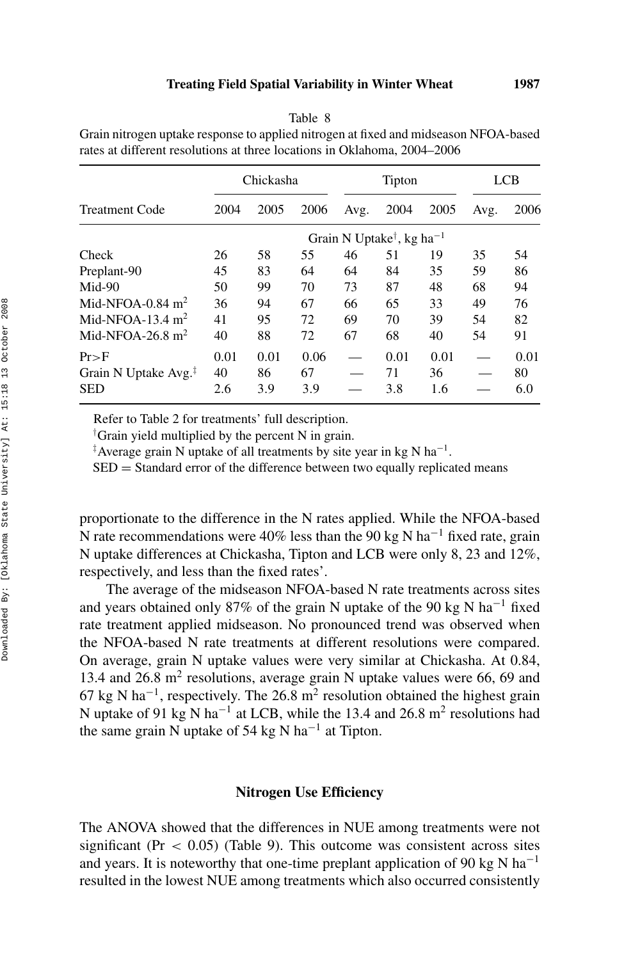| Table | ∩ |
|-------|---|
|-------|---|

Grain nitrogen uptake response to applied nitrogen at fixed and midseason NFOA-based rates at different resolutions at three locations in Oklahoma, 2004–2006

|                                  |      | Chickasha |      |      | Tipton                                            |      |      | <b>LCB</b> |
|----------------------------------|------|-----------|------|------|---------------------------------------------------|------|------|------------|
| Treatment Code                   | 2004 | 2005      | 2006 | Avg. | 2004                                              | 2005 | Avg. | 2006       |
|                                  |      |           |      |      | Grain N Uptake <sup>†</sup> , kg ha <sup>-1</sup> |      |      |            |
| Check                            | 26   | 58        | 55   | 46   | 51                                                | 19   | 35   | 54         |
| Preplant-90                      | 45   | 83        | 64   | 64   | 84                                                | 35   | 59   | 86         |
| Mid-90                           | 50   | 99        | 70   | 73   | 87                                                | 48   | 68   | 94         |
| Mid-NFOA- $0.84~\mathrm{m}^2$    | 36   | 94        | 67   | 66   | 65                                                | 33   | 49   | 76         |
| Mid-NFOA-13.4 $m2$               | 41   | 95        | 72   | 69   | 70                                                | 39   | 54   | 82         |
| Mid-NFOA-26.8 $m2$               | 40   | 88        | 72   | 67   | 68                                                | 40   | 54   | 91         |
| $Pr\supset F$                    | 0.01 | 0.01      | 0.06 |      | 0.01                                              | 0.01 |      | 0.01       |
| Grain N Uptake Avg. <sup>‡</sup> | 40   | 86        | 67   |      | 71                                                | 36   |      | 80         |
| SED                              | 2.6  | 3.9       | 3.9  |      | 3.8                                               | 1.6  |      | 6.0        |

Refer to Table 2 for treatments' full description.

† Grain yield multiplied by the percent N in grain.

‡ Average grain N uptake of all treatments by site year in kg N ha−1.

SED = Standard error of the difference between two equally replicated means

proportionate to the difference in the N rates applied. While the NFOA-based N rate recommendations were 40% less than the 90 kg N ha<sup>-1</sup> fixed rate, grain N uptake differences at Chickasha, Tipton and LCB were only 8, 23 and 12%, respectively, and less than the fixed rates'.

The average of the midseason NFOA-based N rate treatments across sites and years obtained only 87% of the grain N uptake of the 90 kg N ha−<sup>1</sup> fixed rate treatment applied midseason. No pronounced trend was observed when the NFOA-based N rate treatments at different resolutions were compared. On average, grain N uptake values were very similar at Chickasha. At 0.84, 13.4 and 26.8 m<sup>2</sup> resolutions, average grain N uptake values were 66, 69 and 67 kg N ha<sup>-1</sup>, respectively. The 26.8 m<sup>2</sup> resolution obtained the highest grain N uptake of 91 kg N ha<sup>-1</sup> at LCB, while the 13.4 and 26.8 m<sup>2</sup> resolutions had the same grain N uptake of 54 kg N ha<sup>-1</sup> at Tipton.

#### **Nitrogen Use Efficiency**

The ANOVA showed that the differences in NUE among treatments were not significant ( $Pr < 0.05$ ) (Table 9). This outcome was consistent across sites and years. It is noteworthy that one-time preplant application of 90 kg N ha<sup>-1</sup> resulted in the lowest NUE among treatments which also occurred consistently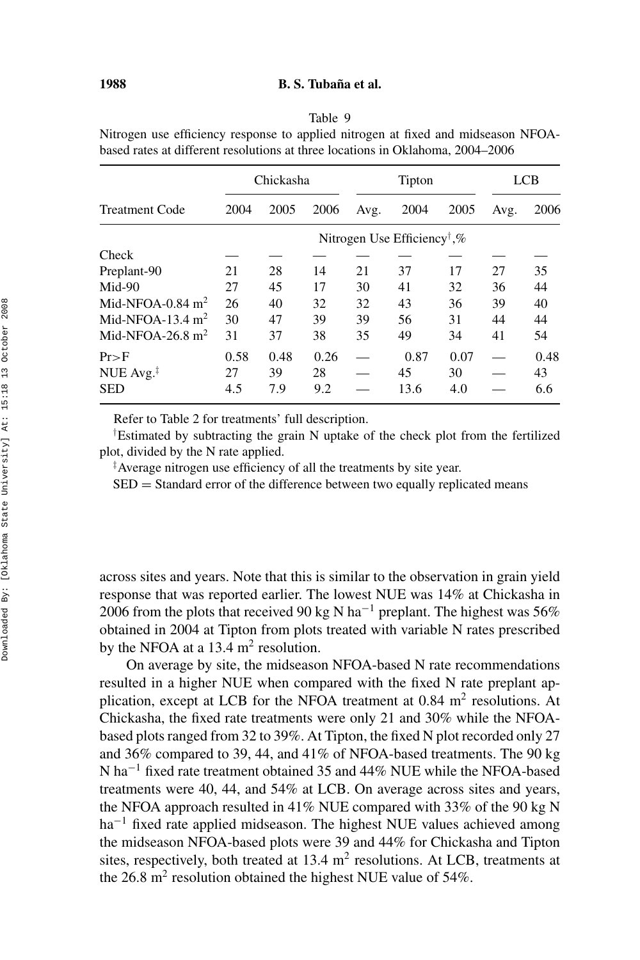#### Table 9

Nitrogen use efficiency response to applied nitrogen at fixed and midseason NFOAbased rates at different resolutions at three locations in Oklahoma, 2004–2006

|                         |      | Chickasha |      |      | Tipton                                  |      |      | LCB  |
|-------------------------|------|-----------|------|------|-----------------------------------------|------|------|------|
| <b>Treatment Code</b>   | 2004 | 2005      | 2006 | Avg. | 2004                                    | 2005 | Avg. | 2006 |
|                         |      |           |      |      | Nitrogen Use Efficiency <sup>†</sup> ,% |      |      |      |
| Check                   |      |           |      |      |                                         |      |      |      |
| Preplant-90             | 21   | 28        | 14   | 21   | 37                                      | 17   | 27   | 35   |
| $Mid-90$                | 27   | 45        | 17   | 30   | 41                                      | 32   | 36   | 44   |
| Mid-NFOA-0.84 $m2$      | 26   | 40        | 32   | 32   | 43                                      | 36   | 39   | 40   |
| Mid-NFOA-13.4 $m2$      | 30   | 47        | 39   | 39   | 56                                      | 31   | 44   | 44   |
| Mid-NFOA-26.8 $m2$      | 31   | 37        | 38   | 35   | 49                                      | 34   | 41   | 54   |
| Pr>F                    | 0.58 | 0.48      | 0.26 |      | 0.87                                    | 0.07 |      | 0.48 |
| NUE $Avg.$ <sup>1</sup> | 27   | 39        | 28   |      | 45                                      | 30   |      | 43   |
| <b>SED</b>              | 4.5  | 7.9       | 9.2  |      | 13.6                                    | 4.0  |      | 6.6  |

Refer to Table 2 for treatments' full description.

† Estimated by subtracting the grain N uptake of the check plot from the fertilized plot, divided by the N rate applied.

‡ Average nitrogen use efficiency of all the treatments by site year.

SED = Standard error of the difference between two equally replicated means

across sites and years. Note that this is similar to the observation in grain yield response that was reported earlier. The lowest NUE was 14% at Chickasha in 2006 from the plots that received 90 kg N ha<sup>-1</sup> preplant. The highest was 56% obtained in 2004 at Tipton from plots treated with variable N rates prescribed by the NFOA at a  $13.4 \text{ m}^2$  resolution.

On average by site, the midseason NFOA-based N rate recommendations resulted in a higher NUE when compared with the fixed N rate preplant application, except at LCB for the NFOA treatment at  $0.84 \text{ m}^2$  resolutions. At Chickasha, the fixed rate treatments were only 21 and 30% while the NFOAbased plots ranged from 32 to 39%. At Tipton, the fixed N plot recorded only 27 and 36% compared to 39, 44, and 41% of NFOA-based treatments. The 90 kg N ha−<sup>1</sup> fixed rate treatment obtained 35 and 44% NUE while the NFOA-based treatments were 40, 44, and 54% at LCB. On average across sites and years, the NFOA approach resulted in 41% NUE compared with 33% of the 90 kg N ha<sup>-1</sup> fixed rate applied midseason. The highest NUE values achieved among the midseason NFOA-based plots were 39 and 44% for Chickasha and Tipton sites, respectively, both treated at  $13.4 \text{ m}^2$  resolutions. At LCB, treatments at the  $26.8 \text{ m}^2$  resolution obtained the highest NUE value of  $54\%$ .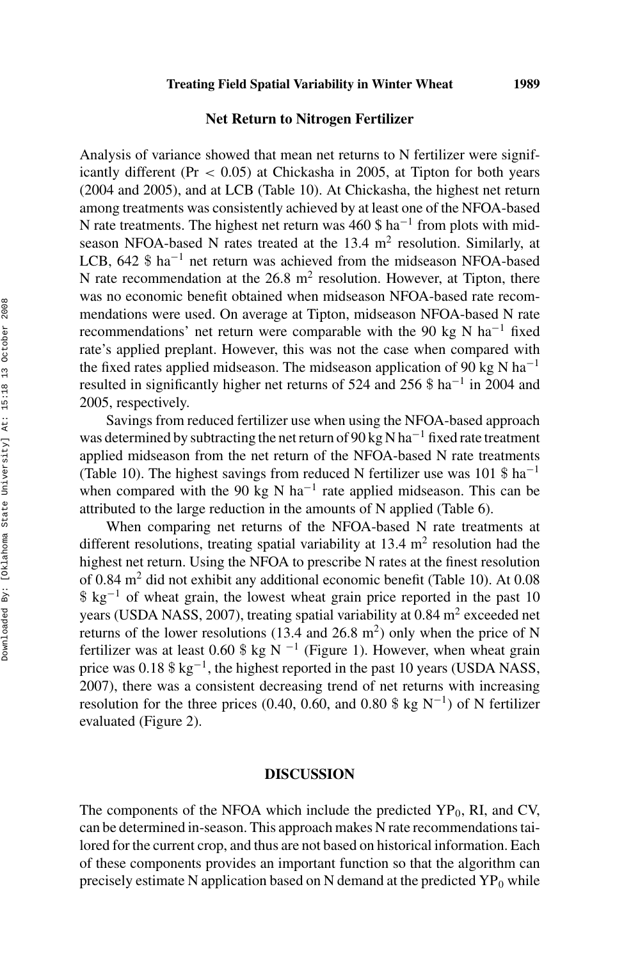## **Net Return to Nitrogen Fertilizer**

Analysis of variance showed that mean net returns to N fertilizer were significantly different (Pr *<* 0.05) at Chickasha in 2005, at Tipton for both years (2004 and 2005), and at LCB (Table 10). At Chickasha, the highest net return among treatments was consistently achieved by at least one of the NFOA-based N rate treatments. The highest net return was 460 \$  $ha^{-1}$  from plots with midseason NFOA-based N rates treated at the  $13.4 \text{ m}^2$  resolution. Similarly, at LCB, 642 \$ ha−<sup>1</sup> net return was achieved from the midseason NFOA-based N rate recommendation at the  $26.8 \text{ m}^2$  resolution. However, at Tipton, there was no economic benefit obtained when midseason NFOA-based rate recommendations were used. On average at Tipton, midseason NFOA-based N rate recommendations' net return were comparable with the 90 kg N ha<sup>-1</sup> fixed rate's applied preplant. However, this was not the case when compared with the fixed rates applied midseason. The midseason application of 90 kg N ha<sup>-1</sup> resulted in significantly higher net returns of 524 and 256 \$ ha−<sup>1</sup> in 2004 and 2005, respectively.

Savings from reduced fertilizer use when using the NFOA-based approach was determined by subtracting the net return of 90 kg N ha<sup> $-1$ </sup> fixed rate treatment applied midseason from the net return of the NFOA-based N rate treatments (Table 10). The highest savings from reduced N fertilizer use was 101 \$ ha<sup>-1</sup> when compared with the 90 kg N ha<sup>-1</sup> rate applied midseason. This can be attributed to the large reduction in the amounts of N applied (Table 6).

When comparing net returns of the NFOA-based N rate treatments at different resolutions, treating spatial variability at  $13.4 \text{ m}^2$  resolution had the highest net return. Using the NFOA to prescribe N rates at the finest resolution of 0.84 m<sup>2</sup> did not exhibit any additional economic benefit (Table 10). At 0.08  $$ \text{kg}^{-1}$  of wheat grain, the lowest wheat grain price reported in the past 10 years (USDA NASS, 2007), treating spatial variability at  $0.84$  m<sup>2</sup> exceeded net returns of the lower resolutions (13.4 and 26.8  $m<sup>2</sup>$ ) only when the price of N fertilizer was at least 0.60 \$ kg N  $^{-1}$  (Figure 1). However, when wheat grain price was  $0.18$  \$ kg<sup>-1</sup>, the highest reported in the past 10 years (USDA NASS, 2007), there was a consistent decreasing trend of net returns with increasing resolution for the three prices (0.40, 0.60, and 0.80 \$ kg N<sup>-1</sup>) of N fertilizer evaluated (Figure 2).

#### **DISCUSSION**

The components of the NFOA which include the predicted  $YP_0$ , RI, and CV, can be determined in-season. This approach makes N rate recommendations tailored for the current crop, and thus are not based on historical information. Each of these components provides an important function so that the algorithm can precisely estimate N application based on N demand at the predicted  $YP_0$  while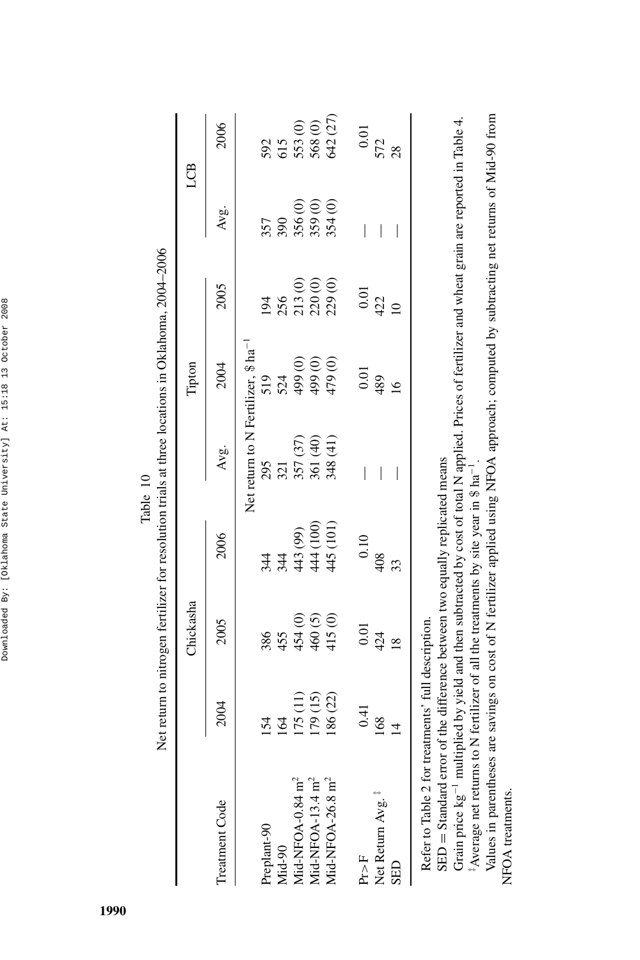|                                                                                                                                                                                                                                                                                                   |          |                | Net return to nitrogen fertilizer for resolution trials at three locations in Oklahoma, 2004-2006 | Table 10                                        |               |                |         |          |
|---------------------------------------------------------------------------------------------------------------------------------------------------------------------------------------------------------------------------------------------------------------------------------------------------|----------|----------------|---------------------------------------------------------------------------------------------------|-------------------------------------------------|---------------|----------------|---------|----------|
|                                                                                                                                                                                                                                                                                                   |          | Chickasha      |                                                                                                   |                                                 | Tipton        |                |         | LCB      |
| Treatment Code                                                                                                                                                                                                                                                                                    | 2004     | 2005           | 2006                                                                                              | Avg.                                            | 2004          | 2005           | Avg.    | 2006     |
|                                                                                                                                                                                                                                                                                                   |          |                |                                                                                                   | Net return to N Fertilizer, \$ ha <sup>-1</sup> |               |                |         |          |
| Preplant-90                                                                                                                                                                                                                                                                                       | 154      | 386            | 344                                                                                               | 295                                             | 519           | 194            | 357     | 592      |
| Mid-90                                                                                                                                                                                                                                                                                            | 164      | 455            | 344                                                                                               | 321                                             | 524           | 256            | 390     | 615      |
| Mid-NFOA-0.84 m <sup>2</sup>                                                                                                                                                                                                                                                                      | (11)     | 454 (0)        | 443 (99)                                                                                          | 357 (37)                                        | 499 (0)       | 213(0)         | 356(0)  | 553 (0)  |
| Mid-NFOA-13.4 m <sup>2</sup>                                                                                                                                                                                                                                                                      | 179 (15) | 460(5)         | 444 (100)                                                                                         | 361 (40)                                        | 499(0)        | 220(0)         | 359(0)  | 568(0)   |
| Mid-NFOA-26.8 m <sup>2</sup>                                                                                                                                                                                                                                                                      | 186 (22) | 415(0)         | 445 (101)                                                                                         | 348 (41)                                        | 479 (0)       | 229 (0)        | 354 (0) | 642 (27) |
| Pr > F                                                                                                                                                                                                                                                                                            | 0.41     | 0.01           | 0.10                                                                                              | I                                               | 0.01          | 0.01           | I       | 0.01     |
| Net Return Avg.                                                                                                                                                                                                                                                                                   | 168      | 424            | 408                                                                                               | I                                               | 489           | 422            | I       | 572      |
| SED                                                                                                                                                                                                                                                                                               | 보        | $\frac{8}{10}$ | 33                                                                                                | I                                               | $\frac{6}{1}$ | $\overline{a}$ | I       | 28       |
| Grain price $\kappa e^{-1}$ multiplied by vield and then subtracted by cost of total N applied. Prices of fertilizer and wheat grain are reported in Table 4<br>SED = Standard error of the difference between two equally replicated means<br>Refer to Table 2 for treatments' full description. |          |                |                                                                                                   |                                                 |               |                |         |          |

Grain price kg<sup>-1</sup> multiplied by yield and then subtracted by cost of total N applied. Prices of fercilizer and wheat grain are reported in 1able 4. Grain price kg−1 multiplied by yield and then subtracted by cost of total N applied. Prices of fertilizer and wheat grain are reported in Table 4. <sup>‡</sup>Average net returns to N fertilizer of all the treatments by site year in \$ ha<sup>-1</sup>. ‡Average net returns to N fertilizer of all the treatments by site year in \$ ha−1.

Values in parentheses are savings on cost of N fertilizer applied using NFOA approach; computed by subtracting net returns of Mid-90 from Values in parentheses are savings on cost of N fertilizer applied using NFOA approach; computed by subtracting net returns of Mid-90 from NFOA treatments. NFOA treatments.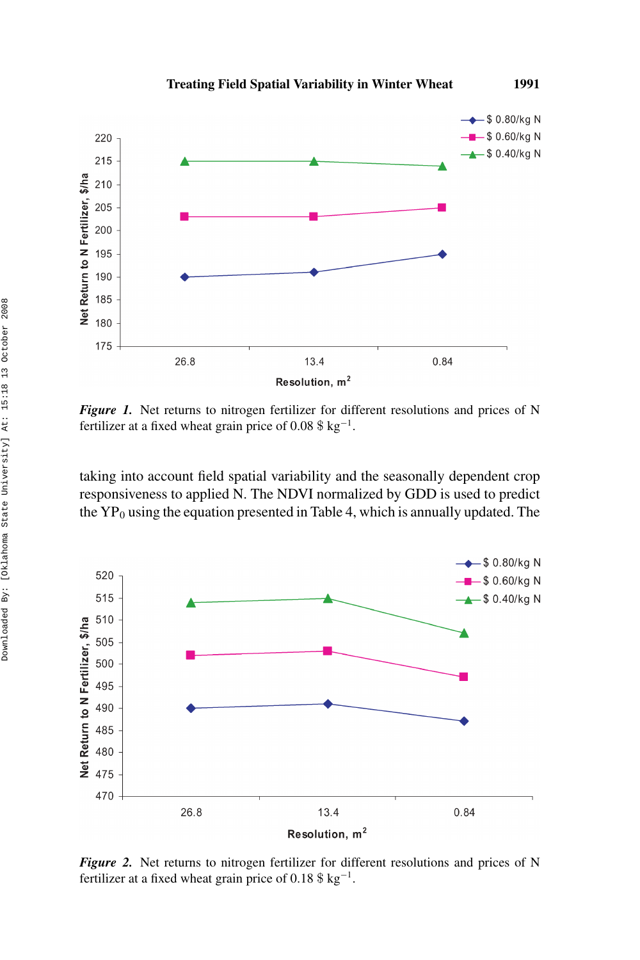

*Figure 1.* Net returns to nitrogen fertilizer for different resolutions and prices of N fertilizer at a fixed wheat grain price of 0.08 \$ kg<sup>-1</sup>.

taking into account field spatial variability and the seasonally dependent crop responsiveness to applied N. The NDVI normalized by GDD is used to predict the  $YP_0$  using the equation presented in Table 4, which is annually updated. The



*Figure 2.* Net returns to nitrogen fertilizer for different resolutions and prices of N fertilizer at a fixed wheat grain price of 0.18  $\frac{18 \text{ kg}^{-1}}{12.5 \text{ kg}^{-1}}$ .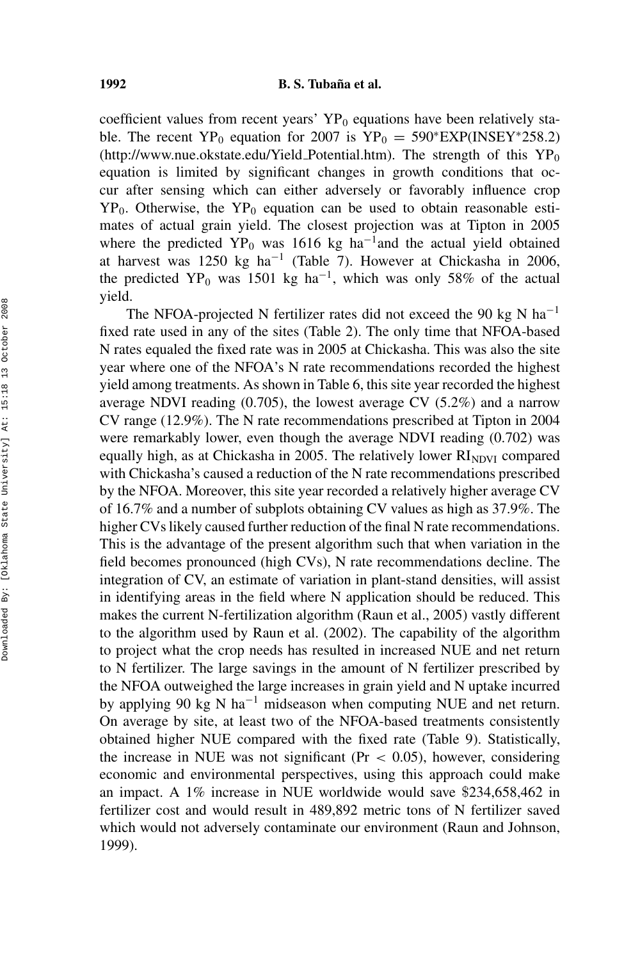#### **1992 B. S. Tubana et al.**

coefficient values from recent years'  $YP_0$  equations have been relatively stable. The recent YP<sub>0</sub> equation for 2007 is YP<sub>0</sub> = 590\*EXP(INSEY\*258.2) (http://www.nue.okstate.edu/Yield\_Potential.htm). The strength of this  $YP_0$ equation is limited by significant changes in growth conditions that occur after sensing which can either adversely or favorably influence crop  $YP_0$ . Otherwise, the  $YP_0$  equation can be used to obtain reasonable estimates of actual grain yield. The closest projection was at Tipton in 2005 where the predicted YP<sub>0</sub> was 1616 kg ha<sup>-1</sup>and the actual yield obtained at harvest was 1250 kg ha−<sup>1</sup> (Table 7). However at Chickasha in 2006, the predicted YP<sub>0</sub> was 1501 kg ha<sup>-1</sup>, which was only 58% of the actual yield.

The NFOA-projected N fertilizer rates did not exceed the 90 kg N ha<sup>-1</sup> fixed rate used in any of the sites (Table 2). The only time that NFOA-based N rates equaled the fixed rate was in 2005 at Chickasha. This was also the site year where one of the NFOA's N rate recommendations recorded the highest yield among treatments. As shown in Table 6, this site year recorded the highest average NDVI reading (0.705), the lowest average CV (5.2%) and a narrow CV range (12.9%). The N rate recommendations prescribed at Tipton in 2004 were remarkably lower, even though the average NDVI reading (0.702) was equally high, as at Chickasha in 2005. The relatively lower  $RI<sub>NDVI</sub>$  compared with Chickasha's caused a reduction of the N rate recommendations prescribed by the NFOA. Moreover, this site year recorded a relatively higher average CV of 16.7% and a number of subplots obtaining CV values as high as 37.9%. The higher CVs likely caused further reduction of the final N rate recommendations. This is the advantage of the present algorithm such that when variation in the field becomes pronounced (high CVs), N rate recommendations decline. The integration of CV, an estimate of variation in plant-stand densities, will assist in identifying areas in the field where N application should be reduced. This makes the current N-fertilization algorithm (Raun et al., 2005) vastly different to the algorithm used by Raun et al. (2002). The capability of the algorithm to project what the crop needs has resulted in increased NUE and net return to N fertilizer. The large savings in the amount of N fertilizer prescribed by the NFOA outweighed the large increases in grain yield and N uptake incurred by applying 90 kg N ha−<sup>1</sup> midseason when computing NUE and net return. On average by site, at least two of the NFOA-based treatments consistently obtained higher NUE compared with the fixed rate (Table 9). Statistically, the increase in NUE was not significant (Pr *<* 0.05), however, considering economic and environmental perspectives, using this approach could make an impact. A 1% increase in NUE worldwide would save \$234,658,462 in fertilizer cost and would result in 489,892 metric tons of N fertilizer saved which would not adversely contaminate our environment (Raun and Johnson, 1999).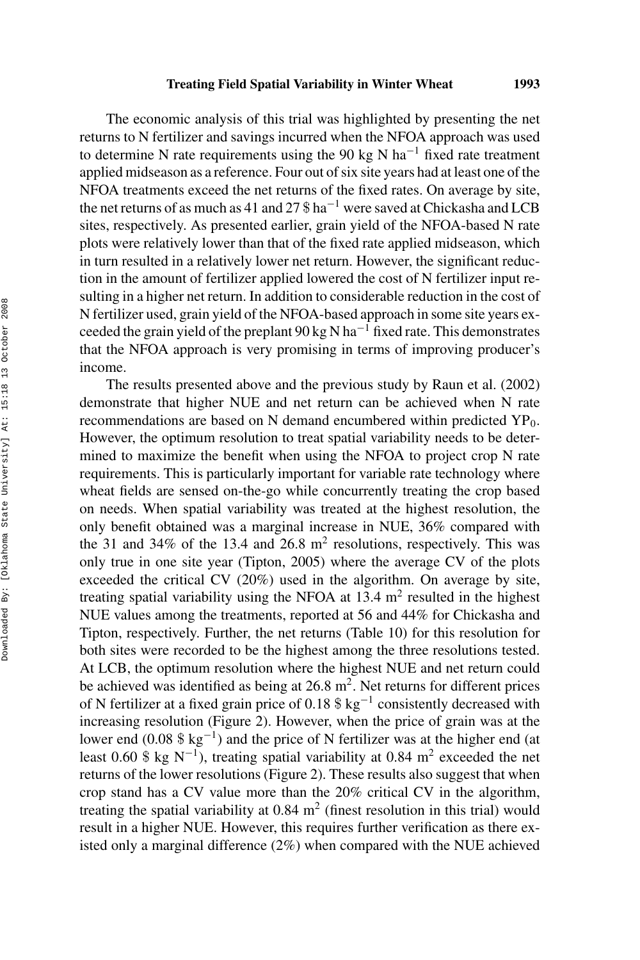#### **Treating Field Spatial Variability in Winter Wheat 1993**

The economic analysis of this trial was highlighted by presenting the net returns to N fertilizer and savings incurred when the NFOA approach was used to determine N rate requirements using the 90 kg N ha<sup>-1</sup> fixed rate treatment applied midseason as a reference. Four out of six site years had at least one of the NFOA treatments exceed the net returns of the fixed rates. On average by site, the net returns of as much as 41 and 27  $\text{\$}$  ha<sup>-1</sup> were saved at Chickasha and LCB sites, respectively. As presented earlier, grain yield of the NFOA-based N rate plots were relatively lower than that of the fixed rate applied midseason, which in turn resulted in a relatively lower net return. However, the significant reduction in the amount of fertilizer applied lowered the cost of N fertilizer input resulting in a higher net return. In addition to considerable reduction in the cost of N fertilizer used, grain yield of the NFOA-based approach in some site years exceeded the grain yield of the preplant 90 kg N ha<sup> $-1$ </sup> fixed rate. This demonstrates that the NFOA approach is very promising in terms of improving producer's income.

The results presented above and the previous study by Raun et al. (2002) demonstrate that higher NUE and net return can be achieved when N rate recommendations are based on N demand encumbered within predicted  $YP_0$ . However, the optimum resolution to treat spatial variability needs to be determined to maximize the benefit when using the NFOA to project crop N rate requirements. This is particularly important for variable rate technology where wheat fields are sensed on-the-go while concurrently treating the crop based on needs. When spatial variability was treated at the highest resolution, the only benefit obtained was a marginal increase in NUE, 36% compared with the 31 and 34% of the 13.4 and 26.8  $m<sup>2</sup>$  resolutions, respectively. This was only true in one site year (Tipton, 2005) where the average CV of the plots exceeded the critical CV (20%) used in the algorithm. On average by site, treating spatial variability using the NFOA at 13.4  $m<sup>2</sup>$  resulted in the highest NUE values among the treatments, reported at 56 and 44% for Chickasha and Tipton, respectively. Further, the net returns (Table 10) for this resolution for both sites were recorded to be the highest among the three resolutions tested. At LCB, the optimum resolution where the highest NUE and net return could be achieved was identified as being at  $26.8 \text{ m}^2$ . Net returns for different prices of N fertilizer at a fixed grain price of 0.18 \$ kg−<sup>1</sup> consistently decreased with increasing resolution (Figure 2). However, when the price of grain was at the lower end (0.08  $\frac{6}{3}$  kg<sup>-1</sup>) and the price of N fertilizer was at the higher end (at least 0.60 \$ kg N<sup>-1</sup>), treating spatial variability at 0.84 m<sup>2</sup> exceeded the net returns of the lower resolutions (Figure 2). These results also suggest that when crop stand has a CV value more than the 20% critical CV in the algorithm, treating the spatial variability at  $0.84 \text{ m}^2$  (finest resolution in this trial) would result in a higher NUE. However, this requires further verification as there existed only a marginal difference (2%) when compared with the NUE achieved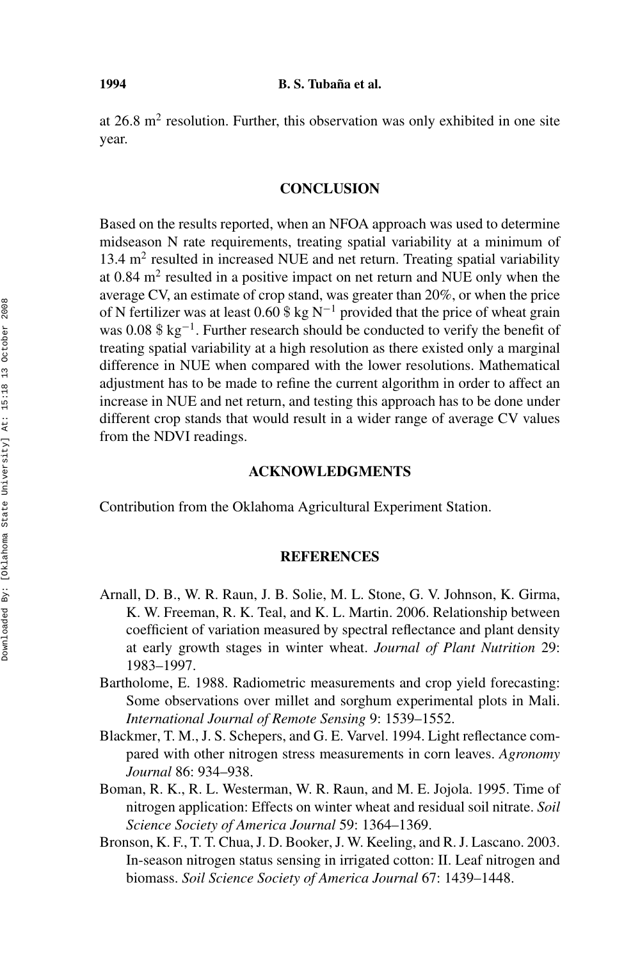at  $26.8$  m<sup>2</sup> resolution. Further, this observation was only exhibited in one site year.

## **CONCLUSION**

Based on the results reported, when an NFOA approach was used to determine midseason N rate requirements, treating spatial variability at a minimum of  $13.4 \text{ m}^2$  resulted in increased NUE and net return. Treating spatial variability at  $0.84$  m<sup>2</sup> resulted in a positive impact on net return and NUE only when the average CV, an estimate of crop stand, was greater than 20%, or when the price of N fertilizer was at least 0.60 \$ kg N<sup>-1</sup> provided that the price of wheat grain was 0.08 \$ kg<sup>-1</sup>. Further research should be conducted to verify the benefit of treating spatial variability at a high resolution as there existed only a marginal difference in NUE when compared with the lower resolutions. Mathematical adjustment has to be made to refine the current algorithm in order to affect an increase in NUE and net return, and testing this approach has to be done under different crop stands that would result in a wider range of average CV values from the NDVI readings.

### **ACKNOWLEDGMENTS**

Contribution from the Oklahoma Agricultural Experiment Station.

# **REFERENCES**

- Arnall, D. B., W. R. Raun, J. B. Solie, M. L. Stone, G. V. Johnson, K. Girma, K. W. Freeman, R. K. Teal, and K. L. Martin. 2006. Relationship between coefficient of variation measured by spectral reflectance and plant density at early growth stages in winter wheat. *Journal of Plant Nutrition* 29: 1983–1997.
- Bartholome, E. 1988. Radiometric measurements and crop yield forecasting: Some observations over millet and sorghum experimental plots in Mali. *International Journal of Remote Sensing* 9: 1539–1552.
- Blackmer, T. M., J. S. Schepers, and G. E. Varvel. 1994. Light reflectance compared with other nitrogen stress measurements in corn leaves. *Agronomy Journal* 86: 934–938.
- Boman, R. K., R. L. Westerman, W. R. Raun, and M. E. Jojola. 1995. Time of nitrogen application: Effects on winter wheat and residual soil nitrate. *Soil Science Society of America Journal* 59: 1364–1369.
- Bronson, K. F., T. T. Chua, J. D. Booker, J. W. Keeling, and R. J. Lascano. 2003. In-season nitrogen status sensing in irrigated cotton: II. Leaf nitrogen and biomass. *Soil Science Society of America Journal* 67: 1439–1448.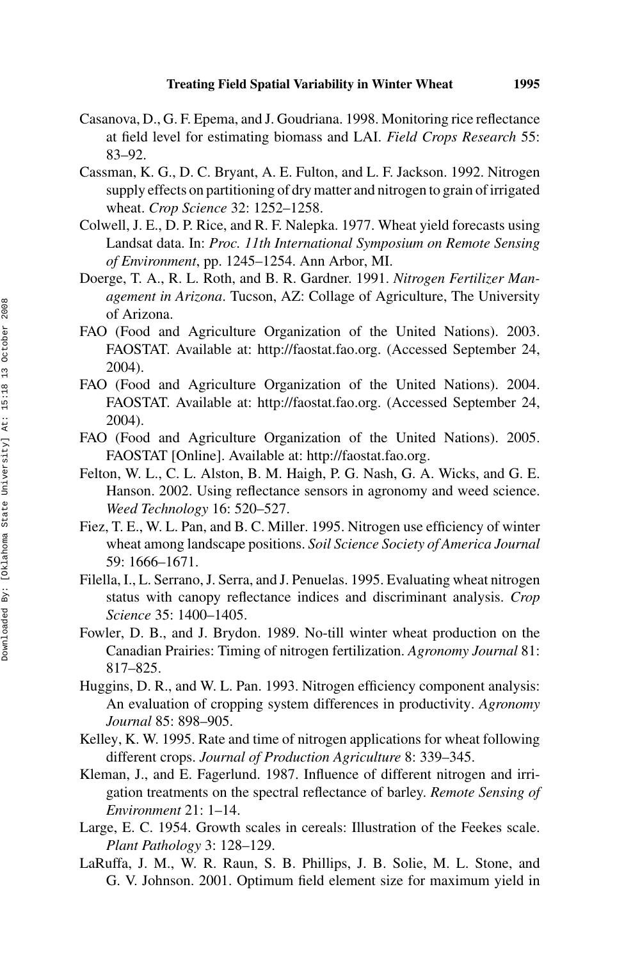- Casanova, D., G. F. Epema, and J. Goudriana. 1998. Monitoring rice reflectance at field level for estimating biomass and LAI. *Field Crops Research* 55: 83–92.
- Cassman, K. G., D. C. Bryant, A. E. Fulton, and L. F. Jackson. 1992. Nitrogen supply effects on partitioning of dry matter and nitrogen to grain of irrigated wheat. *Crop Science* 32: 1252–1258.
- Colwell, J. E., D. P. Rice, and R. F. Nalepka. 1977. Wheat yield forecasts using Landsat data. In: *Proc. 11th International Symposium on Remote Sensing of Environment*, pp. 1245–1254. Ann Arbor, MI.
- Doerge, T. A., R. L. Roth, and B. R. Gardner. 1991. *Nitrogen Fertilizer Management in Arizona*. Tucson, AZ: Collage of Agriculture, The University of Arizona.
- FAO (Food and Agriculture Organization of the United Nations). 2003. FAOSTAT. Available at: http://faostat.fao.org. (Accessed September 24, 2004).
- FAO (Food and Agriculture Organization of the United Nations). 2004. FAOSTAT. Available at: http://faostat.fao.org. (Accessed September 24, 2004).
- FAO (Food and Agriculture Organization of the United Nations). 2005. FAOSTAT [Online]. Available at: http://faostat.fao.org.
- Felton, W. L., C. L. Alston, B. M. Haigh, P. G. Nash, G. A. Wicks, and G. E. Hanson. 2002. Using reflectance sensors in agronomy and weed science. *Weed Technology* 16: 520–527.
- Fiez, T. E., W. L. Pan, and B. C. Miller. 1995. Nitrogen use efficiency of winter wheat among landscape positions. *Soil Science Society of America Journal* 59: 1666–1671.
- Filella, I., L. Serrano, J. Serra, and J. Penuelas. 1995. Evaluating wheat nitrogen status with canopy reflectance indices and discriminant analysis. *Crop Science* 35: 1400–1405.
- Fowler, D. B., and J. Brydon. 1989. No-till winter wheat production on the Canadian Prairies: Timing of nitrogen fertilization. *Agronomy Journal* 81: 817–825.
- Huggins, D. R., and W. L. Pan. 1993. Nitrogen efficiency component analysis: An evaluation of cropping system differences in productivity. *Agronomy Journal* 85: 898–905.
- Kelley, K. W. 1995. Rate and time of nitrogen applications for wheat following different crops. *Journal of Production Agriculture* 8: 339–345.
- Kleman, J., and E. Fagerlund. 1987. Influence of different nitrogen and irrigation treatments on the spectral reflectance of barley. *Remote Sensing of Environment* 21: 1–14.
- Large, E. C. 1954. Growth scales in cereals: Illustration of the Feekes scale. *Plant Pathology* 3: 128–129.
- LaRuffa, J. M., W. R. Raun, S. B. Phillips, J. B. Solie, M. L. Stone, and G. V. Johnson. 2001. Optimum field element size for maximum yield in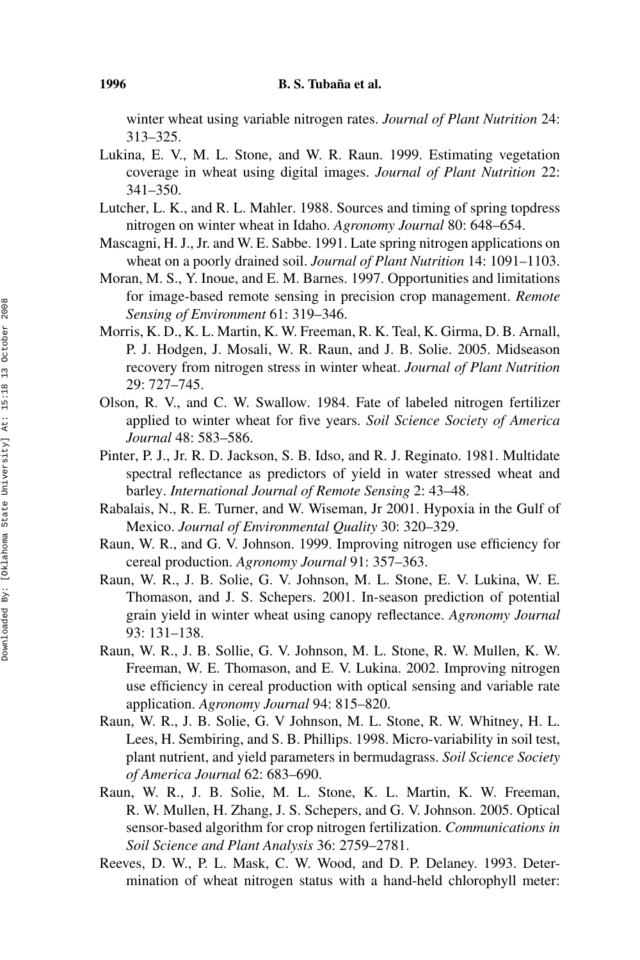winter wheat using variable nitrogen rates. *Journal of Plant Nutrition* 24: 313–325.

- Lukina, E. V., M. L. Stone, and W. R. Raun. 1999. Estimating vegetation coverage in wheat using digital images. *Journal of Plant Nutrition* 22: 341–350.
- Lutcher, L. K., and R. L. Mahler. 1988. Sources and timing of spring topdress nitrogen on winter wheat in Idaho. *Agronomy Journal* 80: 648–654.
- Mascagni, H. J., Jr. and W. E. Sabbe. 1991. Late spring nitrogen applications on wheat on a poorly drained soil. *Journal of Plant Nutrition* 14: 1091–1103.
- Moran, M. S., Y. Inoue, and E. M. Barnes. 1997. Opportunities and limitations for image-based remote sensing in precision crop management. *Remote Sensing of Environment* 61: 319–346.
- Morris, K. D., K. L. Martin, K. W. Freeman, R. K. Teal, K. Girma, D. B. Arnall, P. J. Hodgen, J. Mosali, W. R. Raun, and J. B. Solie. 2005. Midseason recovery from nitrogen stress in winter wheat. *Journal of Plant Nutrition* 29: 727–745.
- Olson, R. V., and C. W. Swallow. 1984. Fate of labeled nitrogen fertilizer applied to winter wheat for five years. *Soil Science Society of America Journal* 48: 583–586.
- Pinter, P. J., Jr. R. D. Jackson, S. B. Idso, and R. J. Reginato. 1981. Multidate spectral reflectance as predictors of yield in water stressed wheat and barley. *International Journal of Remote Sensing* 2: 43–48.
- Rabalais, N., R. E. Turner, and W. Wiseman, Jr 2001. Hypoxia in the Gulf of Mexico. *Journal of Environmental Quality* 30: 320–329.
- Raun, W. R., and G. V. Johnson. 1999. Improving nitrogen use efficiency for cereal production. *Agronomy Journal* 91: 357–363.
- Raun, W. R., J. B. Solie, G. V. Johnson, M. L. Stone, E. V. Lukina, W. E. Thomason, and J. S. Schepers. 2001. In-season prediction of potential grain yield in winter wheat using canopy reflectance. *Agronomy Journal* 93: 131–138.
- Raun, W. R., J. B. Sollie, G. V. Johnson, M. L. Stone, R. W. Mullen, K. W. Freeman, W. E. Thomason, and E. V. Lukina. 2002. Improving nitrogen use efficiency in cereal production with optical sensing and variable rate application. *Agronomy Journal* 94: 815–820.
- Raun, W. R., J. B. Solie, G. V Johnson, M. L. Stone, R. W. Whitney, H. L. Lees, H. Sembiring, and S. B. Phillips. 1998. Micro-variability in soil test, plant nutrient, and yield parameters in bermudagrass. *Soil Science Society of America Journal* 62: 683–690.
- Raun, W. R., J. B. Solie, M. L. Stone, K. L. Martin, K. W. Freeman, R. W. Mullen, H. Zhang, J. S. Schepers, and G. V. Johnson. 2005. Optical sensor-based algorithm for crop nitrogen fertilization. *Communications in Soil Science and Plant Analysis* 36: 2759–2781.
- Reeves, D. W., P. L. Mask, C. W. Wood, and D. P. Delaney. 1993. Determination of wheat nitrogen status with a hand-held chlorophyll meter: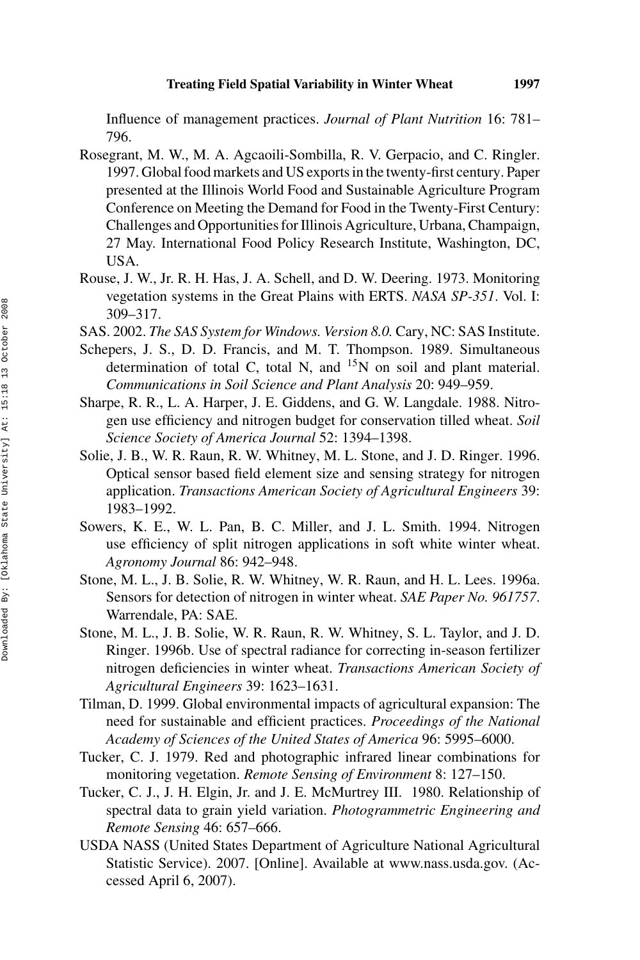Influence of management practices. *Journal of Plant Nutrition* 16: 781– 796.

- Rosegrant, M. W., M. A. Agcaoili-Sombilla, R. V. Gerpacio, and C. Ringler. 1997. Global food markets and US exports in the twenty-first century. Paper presented at the Illinois World Food and Sustainable Agriculture Program Conference on Meeting the Demand for Food in the Twenty-First Century: Challenges and Opportunities for Illinois Agriculture, Urbana, Champaign, 27 May. International Food Policy Research Institute, Washington, DC, USA.
- Rouse, J. W., Jr. R. H. Has, J. A. Schell, and D. W. Deering. 1973. Monitoring vegetation systems in the Great Plains with ERTS. *NASA SP-351*. Vol. I: 309–317.
- SAS. 2002. *The SAS System for Windows. Version 8.0.* Cary, NC: SAS Institute.
- Schepers, J. S., D. D. Francis, and M. T. Thompson. 1989. Simultaneous determination of total C, total N, and  $^{15}N$  on soil and plant material. *Communications in Soil Science and Plant Analysis* 20: 949–959.
- Sharpe, R. R., L. A. Harper, J. E. Giddens, and G. W. Langdale. 1988. Nitrogen use efficiency and nitrogen budget for conservation tilled wheat. *Soil Science Society of America Journal* 52: 1394–1398.
- Solie, J. B., W. R. Raun, R. W. Whitney, M. L. Stone, and J. D. Ringer. 1996. Optical sensor based field element size and sensing strategy for nitrogen application. *Transactions American Society of Agricultural Engineers* 39: 1983–1992.
- Sowers, K. E., W. L. Pan, B. C. Miller, and J. L. Smith. 1994. Nitrogen use efficiency of split nitrogen applications in soft white winter wheat. *Agronomy Journal* 86: 942–948.
- Stone, M. L., J. B. Solie, R. W. Whitney, W. R. Raun, and H. L. Lees. 1996a. Sensors for detection of nitrogen in winter wheat. *SAE Paper No. 961757*. Warrendale, PA: SAE.
- Stone, M. L., J. B. Solie, W. R. Raun, R. W. Whitney, S. L. Taylor, and J. D. Ringer. 1996b. Use of spectral radiance for correcting in-season fertilizer nitrogen deficiencies in winter wheat. *Transactions American Society of Agricultural Engineers* 39: 1623–1631.
- Tilman, D. 1999. Global environmental impacts of agricultural expansion: The need for sustainable and efficient practices. *Proceedings of the National Academy of Sciences of the United States of America* 96: 5995–6000.
- Tucker, C. J. 1979. Red and photographic infrared linear combinations for monitoring vegetation. *Remote Sensing of Environment* 8: 127–150.
- Tucker, C. J., J. H. Elgin, Jr. and J. E. McMurtrey III. 1980. Relationship of spectral data to grain yield variation. *Photogrammetric Engineering and Remote Sensing* 46: 657–666.
- USDA NASS (United States Department of Agriculture National Agricultural Statistic Service). 2007. [Online]. Available at www.nass.usda.gov. (Accessed April 6, 2007).